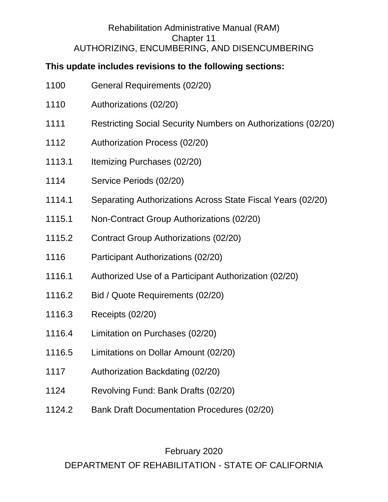#### Rehabilitation Administrative Manual (RAM) Chapter 11 AUTHORIZING, ENCUMBERING, AND DISENCUMBERING

## **This update includes revisions to the following sections:**

- 1110 Authorizations (02/20)
- 1111 Restricting Social Security Numbers on Authorizations (02/20)
- 1112 Authorization Process (02/20)
- 1113.1 Itemizing Purchases (02/20)
- 1114 Service Periods (02/20)
- 1114.1 Separating Authorizations Across State Fiscal Years (02/20)
- 1115.1 Non-Contract Group Authorizations (02/20)
- 1115.2 Contract Group Authorizations (02/20)
- 1116 Participant Authorizations (02/20)
- 1116.1 Authorized Use of a Participant Authorization (02/20)
- 1116.2 Bid / Quote Requirements (02/20)
- 1116.3 Receipts (02/20)
- 1116.4 Limitation on Purchases (02/20)
- 1116.5 Limitations on Dollar Amount (02/20)
- 1117 Authorization Backdating (02/20)
- 1124 Revolving Fund: Bank Drafts (02/20)
- 1124.2 Bank Draft Documentation Procedures (02/20)

#### February 2020

DEPARTMENT OF REHABILITATION - STATE OF CALIFORNIA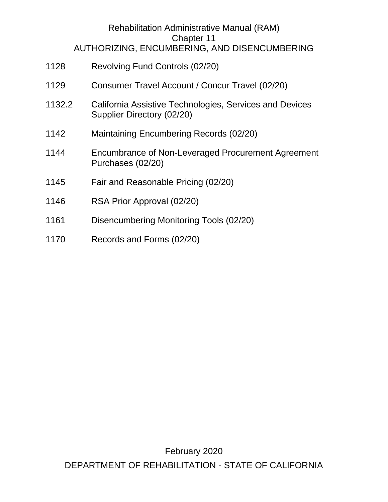#### Rehabilitation Administrative Manual (RAM) Chapter 11 AUTHORIZING, ENCUMBERING, AND DISENCUMBERING

- 1128 Revolving Fund Controls (02/20)
- 1129 Consumer Travel Account / Concur Travel (02/20)
- 1132.2 California Assistive Technologies, Services and Devices Supplier Directory (02/20)
- 1142 Maintaining Encumbering Records (02/20)
- 1144 Encumbrance of Non-Leveraged Procurement Agreement Purchases (02/20)
- 1145 Fair and Reasonable Pricing (02/20)
- 1146 RSA Prior Approval (02/20)
- 1161 Disencumbering Monitoring Tools (02/20)
- 1170 Records and Forms (02/20)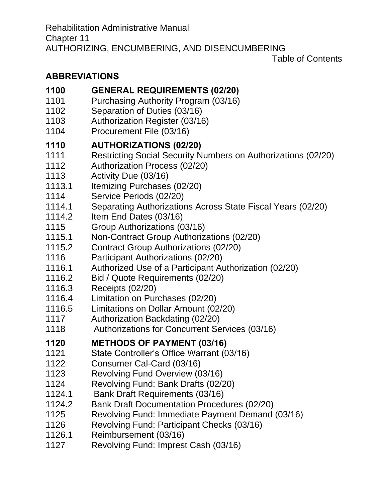Table of Contents

# **[ABBREVIATIONS](#page-4-0)**

## **[1100 GENERAL REQUIREMENTS \(02/20\)](#page-6-0)**

- 1101 [Purchasing Authority Program \(03/16\)](#page-8-0)
- 1102 [Separation of Duties \(03/16\)](#page-8-1)
- 1103 [Authorization Register \(03/16\)](#page-8-2)
- 1104 [Procurement File \(03/16\)](#page-9-0)

# **1110 [AUTHORIZATIONS \(02/20\)](#page-10-0)**

- 1111 [Restricting Social Security Numbers on Authorizations \(02/20\)](#page-12-0)
- 1112 [Authorization Process \(02/20\)](#page-12-1)
- 1113 [Activity Due \(03/16\)](#page-13-0)
- 1113.1 [Itemizing Purchases \(02/20\)](#page-13-1)
- 1114 [Service Periods \(02/20\)](#page-14-0)
- 1114.1 [Separating Authorizations Across State Fiscal Years \(02/20\)](#page-14-1)
- 1114.2 [Item End Dates \(03/16\)](#page-15-0)
- [1115 Group Authorizations \(03/16\)](#page-15-1)
- 1115.1 [Non-Contract Group Authorizations \(02/20\)](#page-16-0)
- 1115.2 [Contract Group Authorizations \(02/20\)](#page-18-0)
- 1116 [Participant Authorizations \(02/20\)](#page-18-1)
- 1116.1 [Authorized Use of a Participant Authorization \(02/20\)](#page-19-0)
- 1116.2 [Bid / Quote Requirements \(02/20\)](#page-20-0)
- 1116.3 [Receipts \(02/20\)](#page-20-1)
- 1116.4 [Limitation on Purchases \(02/20\)](#page-20-2)
- [1116.5 Limitations on Dollar Amount \(02/20\)](#page-21-0)
- 1117 [Authorization Backdating \(02/20\)](#page-22-0)
- 1118 [Authorizations for Concurrent Services \(03/16\)](#page-23-0)

# **1120 [METHODS OF PAYMENT \(03/16\)](#page-24-0)**

- 1121 [State Controller's Office Warrant \(03/16\)](#page-24-1)
- 1122 [Consumer Cal-Card \(03/16\)](#page-24-2)
- 1123 [Revolving Fund Overview \(03/16\)](#page-25-0)
- 1124 [Revolving Fund: Bank Drafts \(02/20\)](#page-25-1)
- 1124.1 [Bank Draft Requirements \(03/16\)](#page-26-0)
- 1124.2 [Bank Draft Documentation Procedures \(02/20\)](#page-27-0)
- 1125 [Revolving Fund: Immediate Payment Demand \(03/16\)](#page-28-0)
- 1126 [Revolving Fund: Participant Checks \(03/16\)](#page-29-0)
- 1126.1 [Reimbursement \(03/16\)](#page-29-1)
- 1127 [Revolving Fund: Imprest Cash \(03/16\)](#page-29-2)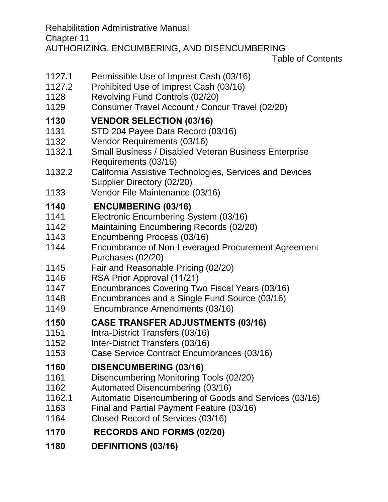Rehabilitation Administrative Manual Chapter 11 AUTHORIZING, ENCUMBERING, AND DISENCUMBERING

Table of Contents

- 1127.1 [Permissible Use of Imprest Cash \(03/16\)](#page-30-0)
- 1127.2 [Prohibited Use of Imprest Cash \(03/16\)](#page-30-1)
- 1128 [Revolving Fund Controls \(02/20\)](#page-30-2)
- 1129 [Consumer Travel Account / Concur Travel \(02/20\)](#page-31-0)

#### **1130 [VENDOR SELECTION \(03/16\)](#page-33-0)**

- 1131 [STD 204 Payee Data Record \(03/16\)](#page-33-1)
- 1132 [Vendor Requirements \(03/16\)](#page-34-0)
- 1132.1 [Small Business / Disabled Veteran Business Enterprise](#page-34-1)  [Requirements \(03/16\)](#page-34-1)
- 1132.2 [California Assistive Technologies, Services and Devices](#page-35-0)  Supplier [Directory](#page-35-0) (02/20)
- 1133 [Vendor File Maintenance \(03/16\)](#page-36-0)

#### **1140 [ENCUMBERING \(03/16\)](#page-37-0)**

- 1141 [Electronic Encumbering System \(03/16\)](#page-37-1)
- 1142 [Maintaining Encumbering Records \(02/20\)](#page-38-0)
- 1143 [Encumbering Process \(03/16\)](#page-38-1)
- 1144 [Encumbrance of Non-Leveraged Procurement Agreement](#page-39-0)  [Purchases \(02/20\)](#page-39-0)
- 1145 [Fair and Reasonable Pricing \(02/20\)](#page-40-0)
- 1146 [RSA Prior Approval \(](#page-40-1)11/21)
- 1147 [Encumbrances Covering Two Fiscal Years \(03/16\)](#page-42-0)
- 1148 [Encumbrances and a Single Fund Source \(03/16\)](#page-42-1)
- 1149 [Encumbrance Amendments \(03/16\)](#page-42-2)

#### **1150 [CASE TRANSFER ADJUSTMENTS \(03/16\)](#page-44-0)**

- 1151 [Intra-District Transfers \(03/16\)](#page-44-1)
- 1152 [Inter-District Transfers \(03/16\)](#page-44-2)
- 1153 [Case Service Contract Encumbrances \(03/16\)](#page-44-3)

#### **1160 [DISENCUMBERING \(03/16\)](#page-45-0)**

- 1161 [Disencumbering Monitoring Tools \(02/20\)](#page-46-0)
- 1162 [Automated Disencumbering \(03/16\)](#page-48-0)
- 1162.1 [Automatic Disencumbering of Goods and Services \(03/16\)](#page-49-0)
- 1163 [Final and Partial Payment Feature \(03/16\)](#page-49-1)
- 1164 [Closed Record of Services \(03/16\)](#page-50-0)

#### **1170 [RECORDS AND FORMS \(02/20\)](#page-51-0)**

**1180 [DEFINITIONS \(03/16\)](#page-53-0)**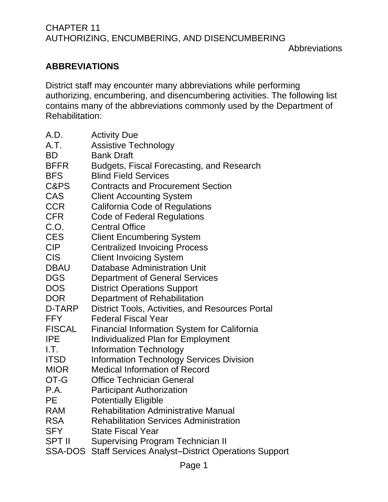## <span id="page-4-0"></span>**ABBREVIATIONS**

District staff may encounter many abbreviations while performing authorizing, encumbering, and disencumbering activities. The following list contains many of the abbreviations commonly used by the Department of Rehabilitation:

| A.D.           | <b>Activity Due</b>                                       |
|----------------|-----------------------------------------------------------|
| A.T.           | <b>Assistive Technology</b>                               |
| <b>BD</b>      | <b>Bank Draft</b>                                         |
| <b>BFFR</b>    | Budgets, Fiscal Forecasting, and Research                 |
| <b>BFS</b>     | <b>Blind Field Services</b>                               |
| C&PS           | <b>Contracts and Procurement Section</b>                  |
| CAS            | <b>Client Accounting System</b>                           |
| <b>CCR</b>     | California Code of Regulations                            |
| <b>CFR</b>     | <b>Code of Federal Regulations</b>                        |
| C.O.           | <b>Central Office</b>                                     |
| <b>CES</b>     | <b>Client Encumbering System</b>                          |
| <b>CIP</b>     | <b>Centralized Invoicing Process</b>                      |
| <b>CIS</b>     | <b>Client Invoicing System</b>                            |
| <b>DBAU</b>    | Database Administration Unit                              |
| <b>DGS</b>     | <b>Department of General Services</b>                     |
| <b>DOS</b>     | <b>District Operations Support</b>                        |
| <b>DOR</b>     | Department of Rehabilitation                              |
| D-TARP         | District Tools, Activities, and Resources Portal          |
| <b>FFY</b>     | <b>Federal Fiscal Year</b>                                |
| <b>FISCAL</b>  | <b>Financial Information System for California</b>        |
| <b>IPE</b>     | <b>Individualized Plan for Employment</b>                 |
| I.T.           | <b>Information Technology</b>                             |
| <b>ITSD</b>    | <b>Information Technology Services Division</b>           |
| <b>MIOR</b>    | <b>Medical Information of Record</b>                      |
| OT-G           | <b>Office Technician General</b>                          |
| P.A.           | <b>Participant Authorization</b>                          |
| <b>PE</b>      | <b>Potentially Eligible</b>                               |
| <b>RAM</b>     | <b>Rehabilitation Administrative Manual</b>               |
| <b>RSA</b>     | <b>Rehabilitation Services Administration</b>             |
| <b>SFY</b>     | <b>State Fiscal Year</b>                                  |
| <b>SPT II</b>  | <b>Supervising Program Technician II</b>                  |
| <b>SSA-DOS</b> | <b>Staff Services Analyst-District Operations Support</b> |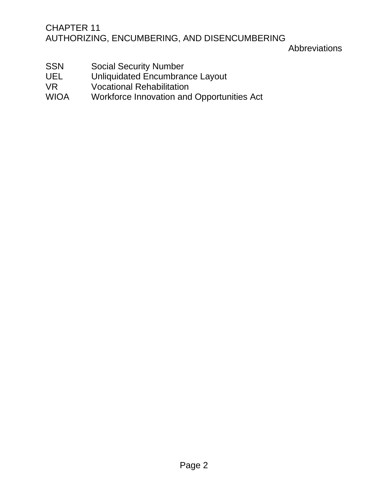#### Abbreviations

- SSN Social Security Number
- UEL Unliquidated Encumbrance Layout
- VR Vocational Rehabilitation<br>WIOA Workforce Innovation and
- Workforce Innovation and Opportunities Act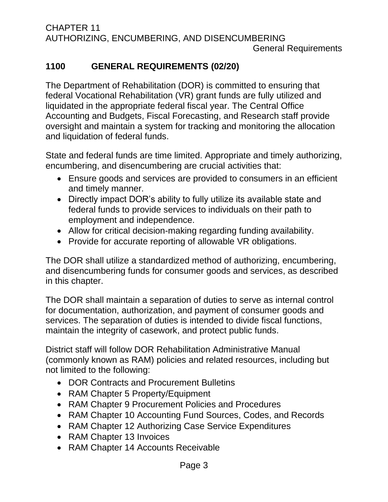## <span id="page-6-0"></span>**1100 GENERAL REQUIREMENTS (02/20)**

The Department of Rehabilitation (DOR) is committed to ensuring that federal Vocational Rehabilitation (VR) grant funds are fully utilized and liquidated in the appropriate federal fiscal year. The Central Office Accounting and Budgets, Fiscal Forecasting, and Research staff provide oversight and maintain a system for tracking and monitoring the allocation and liquidation of federal funds.

State and federal funds are time limited. Appropriate and timely authorizing, encumbering, and disencumbering are crucial activities that:

- Ensure goods and services are provided to consumers in an efficient and timely manner.
- Directly impact DOR's ability to fully utilize its available state and federal funds to provide services to individuals on their path to employment and independence.
- Allow for critical decision-making regarding funding availability.
- Provide for accurate reporting of allowable VR obligations.

The DOR shall utilize a standardized method of authorizing, encumbering, and disencumbering funds for consumer goods and services, as described in this chapter.

The DOR shall maintain a separation of duties to serve as internal control for documentation, authorization, and payment of consumer goods and services. The separation of duties is intended to divide fiscal functions, maintain the integrity of casework, and protect public funds.

District staff will follow DOR Rehabilitation Administrative Manual (commonly known as RAM) policies and related resources, including but not limited to the following:

- DOR Contracts and Procurement Bulletins
- RAM Chapter 5 Property/Equipment
- RAM Chapter 9 Procurement Policies and Procedures
- RAM Chapter 10 Accounting Fund Sources, Codes, and Records
- RAM Chapter 12 Authorizing Case Service Expenditures
- RAM Chapter 13 Invoices
- RAM Chapter 14 Accounts Receivable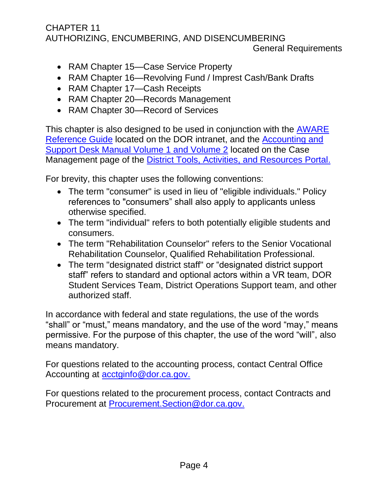#### General Requirements

- RAM Chapter 15—Case Service Property
- RAM Chapter 16—Revolving Fund / Imprest Cash/Bank Drafts
- RAM Chapter 17—Cash Receipts
- RAM Chapter 20—Records Management
- RAM Chapter 30—Record of Services

This chapter is also designed to be used in conjunction with the AWARE [Reference Guide](http://indor/division/itsd/aware) located on the DOR intranet, and the [Accounting and](file://///dorgroup/group/Public%20Folder/Accounting%20and%20Support%20Desk%20Manuals)  [Support Desk Manual](file://///dorgroup/group/Public%20Folder/Accounting%20and%20Support%20Desk%20Manuals) Volume 1 and Volume 2 located on the Case Management page of the [District Tools, Activities, and Resources Portal.](http://indor/vrprd/program-policy-implementation/district-tools-activities-and-resources-portal)

For brevity, this chapter uses the following conventions:

- The term "consumer" is used in lieu of "eligible individuals." Policy references to "consumers" shall also apply to applicants unless otherwise specified.
- The term "individual" refers to both potentially eligible students and consumers.
- The term "Rehabilitation Counselor" refers to the Senior Vocational Rehabilitation Counselor, Qualified Rehabilitation Professional.
- The term "designated district staff" or "designated district support staff" refers to standard and optional actors within a VR team, DOR Student Services Team, District Operations Support team, and other authorized staff.

In accordance with federal and state regulations, the use of the words "shall" or "must," means mandatory, and the use of the word "may," means permissive. For the purpose of this chapter, the use of the word "will", also means mandatory.

For questions related to the accounting process, contact Central Office Accounting at [acctginfo@dor.ca.gov.](mailto:acctginfo@dor.ca.gov)

For questions related to the procurement process, contact Contracts and Procurement at [Procurement.Section@dor.ca.gov.](mailto:Procurement.Section@dor.ca.gov)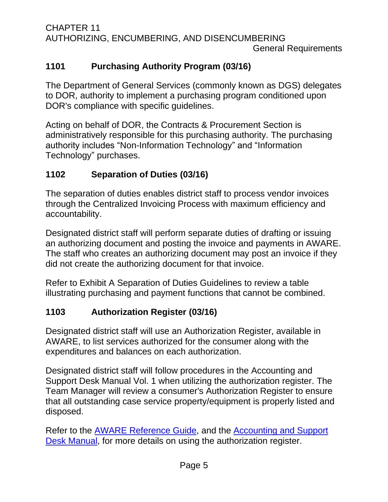CHAPTER 11 AUTHORIZING, ENCUMBERING, AND DISENCUMBERING General Requirements

## <span id="page-8-0"></span>**1101 Purchasing Authority Program (03/16)**

The Department of General Services (commonly known as DGS) delegates to DOR, authority to implement a purchasing program conditioned upon DOR's compliance with specific guidelines.

Acting on behalf of DOR, the Contracts & Procurement Section is administratively responsible for this purchasing authority. The purchasing authority includes "Non-Information Technology" and "Information Technology" purchases.

## <span id="page-8-1"></span>**1102 Separation of Duties (03/16)**

The separation of duties enables district staff to process vendor invoices through the Centralized Invoicing Process with maximum efficiency and accountability.

Designated district staff will perform separate duties of drafting or issuing an authorizing document and posting the invoice and payments in AWARE. The staff who creates an authorizing document may post an invoice if they did not create the authorizing document for that invoice.

Refer to Exhibit A Separation of Duties Guidelines to review a table illustrating purchasing and payment functions that cannot be combined.

## <span id="page-8-2"></span>**1103 Authorization Register (03/16)**

Designated district staff will use an Authorization Register, available in AWARE, to list services authorized for the consumer along with the expenditures and balances on each authorization.

Designated district staff will follow procedures in the Accounting and Support Desk Manual Vol. 1 when utilizing the authorization register. The Team Manager will review a consumer's Authorization Register to ensure that all outstanding case service property/equipment is properly listed and disposed.

Refer to the [AWARE Reference Guide,](http://indor/division/itsd/aware) and the [Accounting and Support](file://///dorgroup/group/Public%20Folder/Accounting%20and%20Support%20Desk%20Manuals)  [Desk Manual,](file://///dorgroup/group/Public%20Folder/Accounting%20and%20Support%20Desk%20Manuals) for more details on using the authorization register.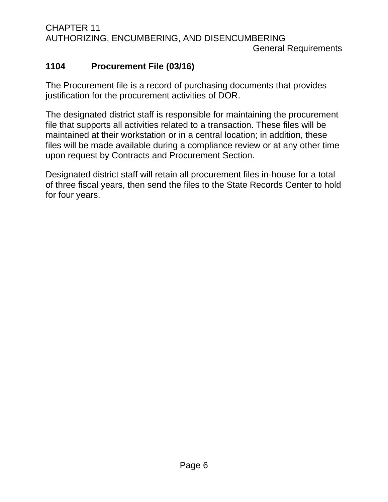CHAPTER 11 AUTHORIZING, ENCUMBERING, AND DISENCUMBERING General Requirements

## <span id="page-9-0"></span>**1104 Procurement File (03/16)**

The Procurement file is a record of purchasing documents that provides justification for the procurement activities of DOR.

The designated district staff is responsible for maintaining the procurement file that supports all activities related to a transaction. These files will be maintained at their workstation or in a central location; in addition, these files will be made available during a compliance review or at any other time upon request by Contracts and Procurement Section.

Designated district staff will retain all procurement files in-house for a total of three fiscal years, then send the files to the State Records Center to hold for four years.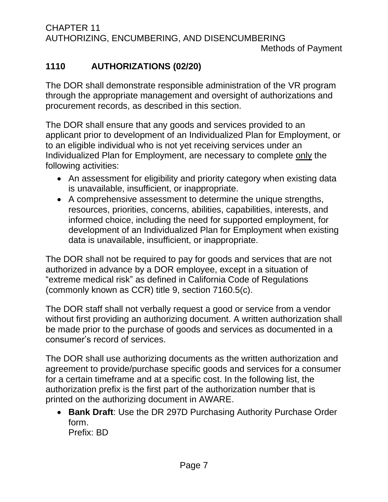## <span id="page-10-0"></span>**1110 AUTHORIZATIONS (02/20)**

The DOR shall demonstrate responsible administration of the VR program through the appropriate management and oversight of authorizations and procurement records, as described in this section.

The DOR shall ensure that any goods and services provided to an applicant prior to development of an Individualized Plan for Employment, or to an eligible individual who is not yet receiving services under an Individualized Plan for Employment, are necessary to complete only the following activities:

- An assessment for eligibility and priority category when existing data is unavailable, insufficient, or inappropriate.
- A comprehensive assessment to determine the unique strengths, resources, priorities, concerns, abilities, capabilities, interests, and informed choice, including the need for supported employment, for development of an Individualized Plan for Employment when existing data is unavailable, insufficient, or inappropriate.

The DOR shall not be required to pay for goods and services that are not authorized in advance by a DOR employee, except in a situation of "extreme medical risk" as defined in California Code of Regulations (commonly known as CCR) title 9, section 7160.5(c).

The DOR staff shall not verbally request a good or service from a vendor without first providing an authorizing document. A written authorization shall be made prior to the purchase of goods and services as documented in a consumer's record of services.

The DOR shall use authorizing documents as the written authorization and agreement to provide/purchase specific goods and services for a consumer for a certain timeframe and at a specific cost. In the following list, the authorization prefix is the first part of the authorization number that is printed on the authorizing document in AWARE.

• **Bank Draft**: Use the DR 297D Purchasing Authority Purchase Order form. Prefix: BD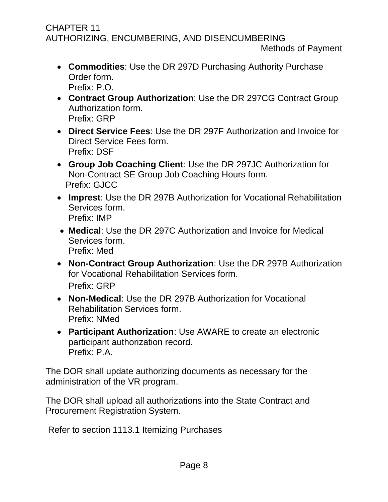- **Commodities**: Use the DR 297D Purchasing Authority Purchase Order form. Prefix: P.O.
- **Contract Group Authorization**: Use the DR 297CG Contract Group Authorization form. Prefix: GRP
- **Direct Service Fees**: Use the DR 297F Authorization and Invoice for Direct Service Fees form. Prefix: DSF
- **Group Job Coaching Client**: Use the DR 297JC Authorization for Non-Contract SE Group Job Coaching Hours form. Prefix: GJCC
- **Imprest**: Use the DR 297B Authorization for Vocational Rehabilitation Services form. Prefix: IMP
- **Medical**: Use the DR 297C Authorization and Invoice for Medical Services form. Prefix: Med
- **Non-Contract Group Authorization**: Use the DR 297B Authorization for Vocational Rehabilitation Services form. Prefix: GRP
- **Non-Medical**: Use the DR 297B Authorization for Vocational Rehabilitation Services form. Prefix: NMed
- **Participant Authorization**: Use AWARE to create an electronic participant authorization record. Prefix: P.A.

The DOR shall update authorizing documents as necessary for the administration of the VR program.

The DOR shall upload all authorizations into the State Contract and Procurement Registration System.

Refer to section 1113.1 Itemizing Purchases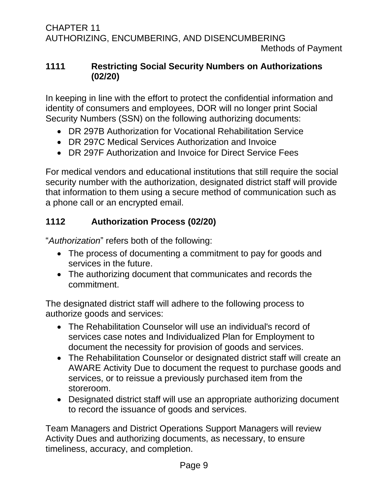## <span id="page-12-0"></span>**1111 Restricting Social Security Numbers on Authorizations (02/20)**

In keeping in line with the effort to protect the confidential information and identity of consumers and employees, DOR will no longer print Social Security Numbers (SSN) on the following authorizing documents:

- DR 297B Authorization for Vocational Rehabilitation Service
- DR 297C Medical Services Authorization and Invoice
- DR 297F Authorization and Invoice for Direct Service Fees

For medical vendors and educational institutions that still require the social security number with the authorization, designated district staff will provide that information to them using a secure method of communication such as a phone call or an encrypted email.

## <span id="page-12-1"></span>**1112 Authorization Process (02/20)**

"*Authorization*" refers both of the following:

- The process of documenting a commitment to pay for goods and services in the future.
- The authorizing document that communicates and records the commitment.

The designated district staff will adhere to the following process to authorize goods and services:

- The Rehabilitation Counselor will use an individual's record of services case notes and Individualized Plan for Employment to document the necessity for provision of goods and services.
- The Rehabilitation Counselor or designated district staff will create an AWARE Activity Due to document the request to purchase goods and services, or to reissue a previously purchased item from the storeroom.
- Designated district staff will use an appropriate authorizing document to record the issuance of goods and services.

Team Managers and District Operations Support Managers will review Activity Dues and authorizing documents, as necessary, to ensure timeliness, accuracy, and completion.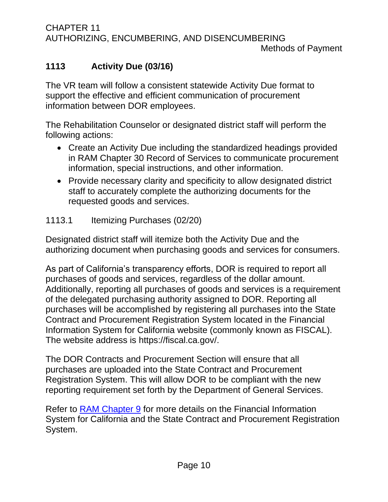CHAPTER 11 AUTHORIZING, ENCUMBERING, AND DISENCUMBERING Methods of Payment

## <span id="page-13-0"></span>**1113 Activity Due (03/16)**

The VR team will follow a consistent statewide Activity Due format to support the effective and efficient communication of procurement information between DOR employees.

The Rehabilitation Counselor or designated district staff will perform the following actions:

- Create an Activity Due including the standardized headings provided in RAM Chapter 30 Record of Services to communicate procurement information, special instructions, and other information.
- Provide necessary clarity and specificity to allow designated district staff to accurately complete the authorizing documents for the requested goods and services.

#### <span id="page-13-1"></span>1113.1 Itemizing Purchases (02/20)

Designated district staff will itemize both the Activity Due and the authorizing document when purchasing goods and services for consumers.

As part of California's transparency efforts, DOR is required to report all purchases of goods and services, regardless of the dollar amount. Additionally, reporting all purchases of goods and services is a requirement of the delegated purchasing authority assigned to DOR. Reporting all purchases will be accomplished by registering all purchases into the State Contract and Procurement Registration System located in the Financial Information System for California website (commonly known as FISCAL). The website address is https://fiscal.ca.gov/.

The DOR Contracts and Procurement Section will ensure that all purchases are uploaded into the State Contract and Procurement Registration System. This will allow DOR to be compliant with the new reporting requirement set forth by the Department of General Services.

Refer to [RAM Chapter 9](http://indor/ram/ram/rehabilitation-administrative-manual-ram) for more details on the Financial Information System for California and the State Contract and Procurement Registration System.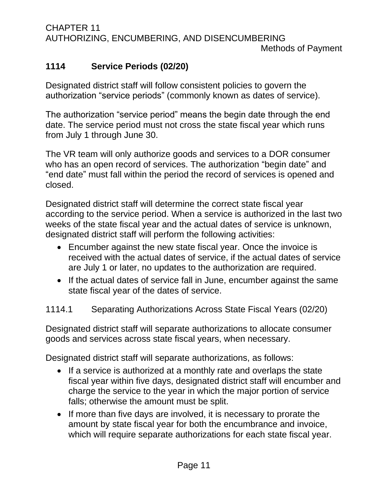## <span id="page-14-0"></span>**1114 Service Periods (02/20)**

Designated district staff will follow consistent policies to govern the authorization "service periods" (commonly known as dates of service).

The authorization "service period" means the begin date through the end date. The service period must not cross the state fiscal year which runs from July 1 through June 30.

The VR team will only authorize goods and services to a DOR consumer who has an open record of services. The authorization "begin date" and "end date" must fall within the period the record of services is opened and closed.

Designated district staff will determine the correct state fiscal year according to the service period. When a service is authorized in the last two weeks of the state fiscal year and the actual dates of service is unknown, designated district staff will perform the following activities:

- Encumber against the new state fiscal year. Once the invoice is received with the actual dates of service, if the actual dates of service are July 1 or later, no updates to the authorization are required.
- If the actual dates of service fall in June, encumber against the same state fiscal year of the dates of service.

## <span id="page-14-1"></span>1114.1 Separating Authorizations Across State Fiscal Years (02/20)

Designated district staff will separate authorizations to allocate consumer goods and services across state fiscal years, when necessary.

Designated district staff will separate authorizations, as follows:

- If a service is authorized at a monthly rate and overlaps the state fiscal year within five days, designated district staff will encumber and charge the service to the year in which the major portion of service falls; otherwise the amount must be split.
- If more than five days are involved, it is necessary to prorate the amount by state fiscal year for both the encumbrance and invoice, which will require separate authorizations for each state fiscal year.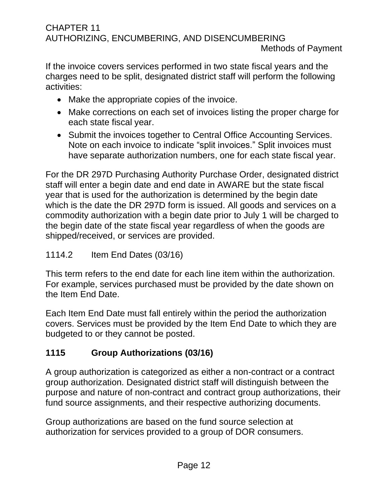Methods of Payment

If the invoice covers services performed in two state fiscal years and the charges need to be split, designated district staff will perform the following activities:

- Make the appropriate copies of the invoice.
- Make corrections on each set of invoices listing the proper charge for each state fiscal year.
- Submit the invoices together to Central Office Accounting Services. Note on each invoice to indicate "split invoices." Split invoices must have separate authorization numbers, one for each state fiscal year.

For the DR 297D Purchasing Authority Purchase Order, designated district staff will enter a begin date and end date in AWARE but the state fiscal year that is used for the authorization is determined by the begin date which is the date the DR 297D form is issued. All goods and services on a commodity authorization with a begin date prior to July 1 will be charged to the begin date of the state fiscal year regardless of when the goods are shipped/received, or services are provided.

## <span id="page-15-0"></span>1114.2 Item End Dates (03/16)

This term refers to the end date for each line item within the authorization. For example, services purchased must be provided by the date shown on the Item End Date.

Each Item End Date must fall entirely within the period the authorization covers. Services must be provided by the Item End Date to which they are budgeted to or they cannot be posted.

## <span id="page-15-1"></span>**1115 Group Authorizations (03/16)**

A group authorization is categorized as either a non-contract or a contract group authorization. Designated district staff will distinguish between the purpose and nature of non-contract and contract group authorizations, their fund source assignments, and their respective authorizing documents.

Group authorizations are based on the fund source selection at authorization for services provided to a group of DOR consumers.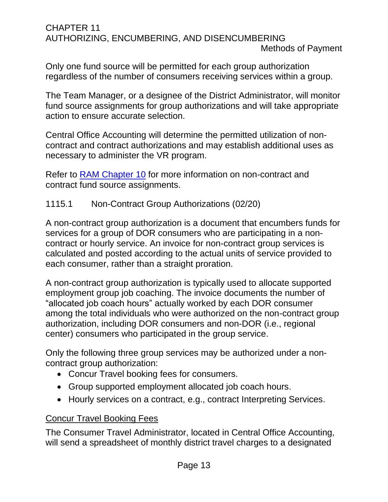Methods of Payment

Only one fund source will be permitted for each group authorization regardless of the number of consumers receiving services within a group.

The Team Manager, or a designee of the District Administrator, will monitor fund source assignments for group authorizations and will take appropriate action to ensure accurate selection.

Central Office Accounting will determine the permitted utilization of noncontract and contract authorizations and may establish additional uses as necessary to administer the VR program.

Refer to RAM [Chapter 10](http://indor/ram/ram/rehabilitation-administrative-manual-ram) for more information on non-contract and contract fund source assignments.

## <span id="page-16-0"></span>1115.1 Non-Contract Group Authorizations (02/20)

A non-contract group authorization is a document that encumbers funds for services for a group of DOR consumers who are participating in a noncontract or hourly service. An invoice for non-contract group services is calculated and posted according to the actual units of service provided to each consumer, rather than a straight proration.

A non-contract group authorization is typically used to allocate supported employment group job coaching. The invoice documents the number of "allocated job coach hours" actually worked by each DOR consumer among the total individuals who were authorized on the non-contract group authorization, including DOR consumers and non-DOR (i.e., regional center) consumers who participated in the group service.

Only the following three group services may be authorized under a noncontract group authorization:

- Concur Travel booking fees for consumers.
- Group supported employment allocated job coach hours.
- Hourly services on a contract, e.g., contract Interpreting Services.

## Concur Travel Booking Fees

The Consumer Travel Administrator, located in Central Office Accounting, will send a spreadsheet of monthly district travel charges to a designated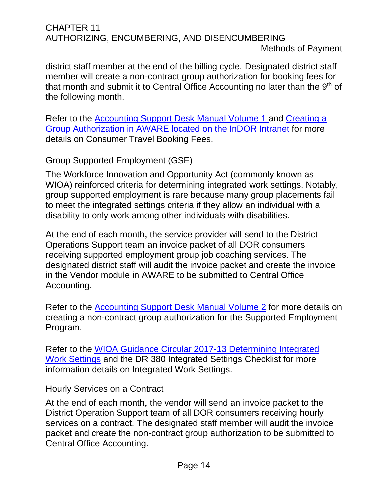Methods of Payment

district staff member at the end of the billing cycle. Designated district staff member will create a non-contract group authorization for booking fees for that month and submit it to Central Office Accounting no later than the 9<sup>th</sup> of the following month.

Refer to the [Accounting Support Desk Manual Volume 1](file://///dorgroup/group/Public%20Folder/Accounting%20and%20Support%20Desk%20Manuals/ASDM%20Volume%201%20(VR%20Teams)%20Fourth%20Edition%20(2019).docx) and [Creating a](http://indor/asd/financial-management-branch/accounting-services/consumer-travel-guide)  [Group Authorization in AWARE l](http://indor/asd/financial-management-branch/accounting-services/consumer-travel-guide)ocated on the InDOR Intranet for more details on Consumer Travel Booking Fees.

## Group Supported Employment (GSE)

The Workforce Innovation and Opportunity Act (commonly known as WIOA) reinforced criteria for determining integrated work settings. Notably, group supported employment is rare because many group placements fail to meet the integrated settings criteria if they allow an individual with a disability to only work among other individuals with disabilities.

At the end of each month, the service provider will send to the District Operations Support team an invoice packet of all DOR consumers receiving supported employment group job coaching services. The designated district staff will audit the invoice packet and create the invoice in the Vendor module in AWARE to be submitted to Central Office Accounting.

Refer to the [Accounting Support Desk Manual Volume 2](file://///dorgroup/group/Public%20Folder/Accounting%20and%20Support%20Desk%20Manuals/ASDM%20Volume%202%20(DOS)%20Thrid%20Edition%202018.07.09.docx) for more details on creating a non-contract group authorization for the Supported Employment Program.

Refer to the [WIOA Guidance Circular 2017-13 Determining Integrated](http://indor/vrprd/program-policy-implementation/workforce-innovation-and-opportunity-act-wioa-toolbox)  [Work Settings](http://indor/vrprd/program-policy-implementation/workforce-innovation-and-opportunity-act-wioa-toolbox) and the DR 380 Integrated Settings Checklist for more information details on Integrated Work Settings.

## Hourly Services on a Contract

At the end of each month, the vendor will send an invoice packet to the District Operation Support team of all DOR consumers receiving hourly services on a contract. The designated staff member will audit the invoice packet and create the non-contract group authorization to be submitted to Central Office Accounting.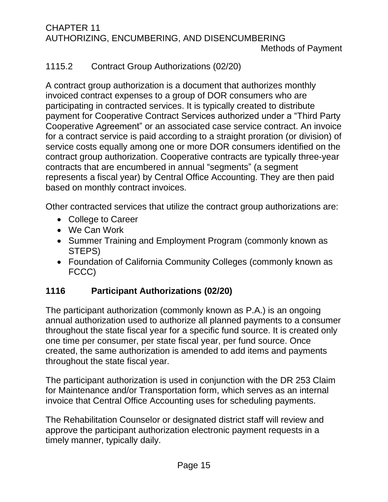## <span id="page-18-0"></span>1115.2 Contract Group Authorizations (02/20)

A contract group authorization is a document that authorizes monthly invoiced contract expenses to a group of DOR consumers who are participating in contracted services. It is typically created to distribute payment for Cooperative Contract Services authorized under a "Third Party Cooperative Agreement" or an associated case service contract. An invoice for a contract service is paid according to a straight proration (or division) of service costs equally among one or more DOR consumers identified on the contract group authorization. Cooperative contracts are typically three-year contracts that are encumbered in annual "segments" (a segment represents a fiscal year) by Central Office Accounting. They are then paid based on monthly contract invoices.

Other contracted services that utilize the contract group authorizations are:

- College to Career
- We Can Work
- Summer Training and Employment Program (commonly known as STEPS)
- Foundation of California Community Colleges (commonly known as FCCC)

## <span id="page-18-1"></span>**1116 Participant Authorizations (02/20)**

The participant authorization (commonly known as P.A.) is an ongoing annual authorization used to authorize all planned payments to a consumer throughout the state fiscal year for a specific fund source. It is created only one time per consumer, per state fiscal year, per fund source. Once created, the same authorization is amended to add items and payments throughout the state fiscal year.

The participant authorization is used in conjunction with the DR 253 Claim for Maintenance and/or Transportation form, which serves as an internal invoice that Central Office Accounting uses for scheduling payments.

The Rehabilitation Counselor or designated district staff will review and approve the participant authorization electronic payment requests in a timely manner, typically daily.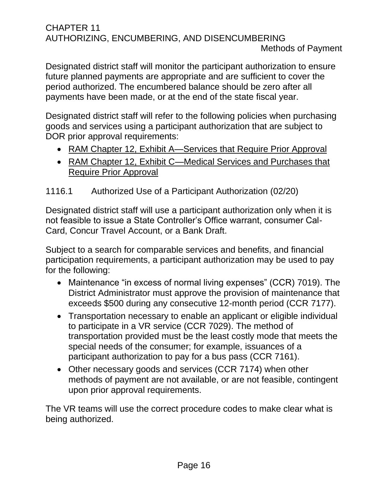Methods of Payment

Designated district staff will monitor the participant authorization to ensure future planned payments are appropriate and are sufficient to cover the period authorized. The encumbered balance should be zero after all payments have been made, or at the end of the state fiscal year.

Designated district staff will refer to the following policies when purchasing goods and services using a participant authorization that are subject to DOR prior approval requirements:

- RAM Chapter 12, Exhibit A-Services that Require Prior Approval
- RAM Chapter 12, Exhibit C—Medical Services and Purchases that Require Prior Approval

## <span id="page-19-0"></span>1116.1 Authorized Use of a Participant Authorization (02/20)

Designated district staff will use a participant authorization only when it is not feasible to issue a State Controller's Office warrant, consumer Cal-Card, Concur Travel Account, or a Bank Draft.

Subject to a search for comparable services and benefits, and financial participation requirements, a participant authorization may be used to pay for the following:

- Maintenance "in excess of normal living expenses" (CCR) 7019). The District Administrator must approve the provision of maintenance that exceeds \$500 during any consecutive 12-month period (CCR 7177).
- Transportation necessary to enable an applicant or eligible individual to participate in a VR service (CCR 7029). The method of transportation provided must be the least costly mode that meets the special needs of the consumer; for example, issuances of a participant authorization to pay for a bus pass (CCR 7161).
- Other necessary goods and services (CCR 7174) when other methods of payment are not available, or are not feasible, contingent upon prior approval requirements.

The VR teams will use the correct procedure codes to make clear what is being authorized.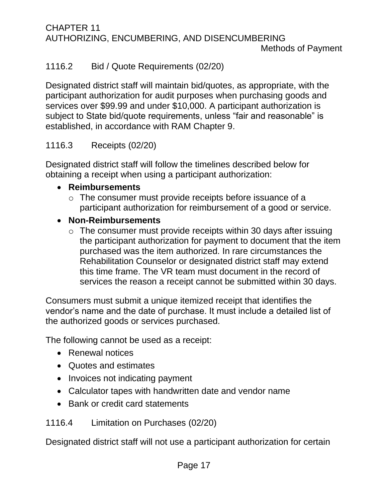Methods of Payment

## <span id="page-20-0"></span>1116.2 Bid / Quote Requirements (02/20)

Designated district staff will maintain bid/quotes, as appropriate, with the participant authorization for audit purposes when purchasing goods and services over \$99.99 and under \$10,000. A participant authorization is subject to State bid/quote requirements, unless "fair and reasonable" is established, in accordance with RAM Chapter 9.

## <span id="page-20-1"></span>1116.3 Receipts (02/20)

Designated district staff will follow the timelines described below for obtaining a receipt when using a participant authorization:

## • **Reimbursements**

o The consumer must provide receipts before issuance of a participant authorization for reimbursement of a good or service.

## • **Non-Reimbursements**

 $\circ$  The consumer must provide receipts within 30 days after issuing the participant authorization for payment to document that the item purchased was the item authorized. In rare circumstances the Rehabilitation Counselor or designated district staff may extend this time frame. The VR team must document in the record of services the reason a receipt cannot be submitted within 30 days.

Consumers must submit a unique itemized receipt that identifies the vendor's name and the date of purchase. It must include a detailed list of the authorized goods or services purchased.

The following cannot be used as a receipt:

- Renewal notices
- Quotes and estimates
- Invoices not indicating payment
- Calculator tapes with handwritten date and vendor name
- Bank or credit card statements

<span id="page-20-2"></span>1116.4 Limitation on Purchases (02/20)

Designated district staff will not use a participant authorization for certain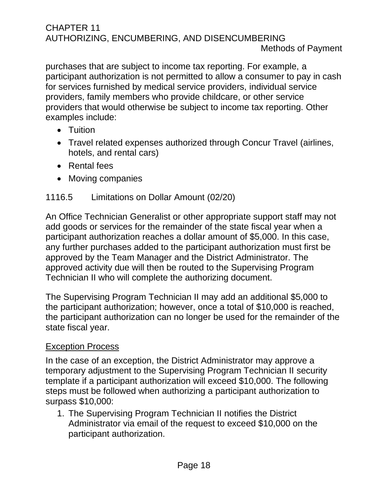purchases that are subject to income tax reporting. For example, a participant authorization is not permitted to allow a consumer to pay in cash for services furnished by medical service providers, individual service providers, family members who provide childcare, or other service providers that would otherwise be subject to income tax reporting. Other examples include:

- Tuition
- Travel related expenses authorized through Concur Travel (airlines, hotels, and rental cars)
- Rental fees
- Moving companies

## <span id="page-21-0"></span>1116.5 Limitations on Dollar Amount (02/20)

An Office Technician Generalist or other appropriate support staff may not add goods or services for the remainder of the state fiscal year when a participant authorization reaches a dollar amount of \$5,000. In this case, any further purchases added to the participant authorization must first be approved by the Team Manager and the District Administrator. The approved activity due will then be routed to the Supervising Program Technician II who will complete the authorizing document.

The Supervising Program Technician II may add an additional \$5,000 to the participant authorization; however, once a total of \$10,000 is reached, the participant authorization can no longer be used for the remainder of the state fiscal year.

## Exception Process

In the case of an exception, the District Administrator may approve a temporary adjustment to the Supervising Program Technician II security template if a participant authorization will exceed \$10,000. The following steps must be followed when authorizing a participant authorization to surpass \$10,000:

1. The Supervising Program Technician II notifies the District Administrator via email of the request to exceed \$10,000 on the participant authorization.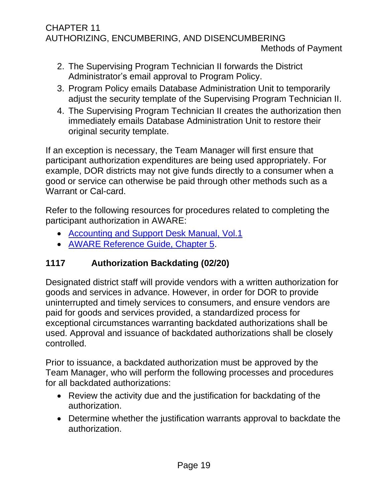- 2. The Supervising Program Technician II forwards the District Administrator's email approval to Program Policy.
- 3. Program Policy emails Database Administration Unit to temporarily adjust the security template of the Supervising Program Technician II.
- 4. The Supervising Program Technician II creates the authorization then immediately emails Database Administration Unit to restore their original security template.

If an exception is necessary, the Team Manager will first ensure that participant authorization expenditures are being used appropriately. For example, DOR districts may not give funds directly to a consumer when a good or service can otherwise be paid through other methods such as a Warrant or Cal-card.

Refer to the following resources for procedures related to completing the participant authorization in AWARE:

- [Accounting and Support Desk Manual, Vol.1](file://///dorgroup/group/Public%20Folder/Accounting%20and%20Support%20Desk%20Manuals)
- [AWARE Reference Guide, Chapter 5.](http://indor/division/itsd/aware)

## <span id="page-22-0"></span>**1117 Authorization Backdating (02/20)**

Designated district staff will provide vendors with a written authorization for goods and services in advance. However, in order for DOR to provide uninterrupted and timely services to consumers, and ensure vendors are paid for goods and services provided, a standardized process for exceptional circumstances warranting backdated authorizations shall be used. Approval and issuance of backdated authorizations shall be closely controlled.

Prior to issuance, a backdated authorization must be approved by the Team Manager, who will perform the following processes and procedures for all backdated authorizations:

- Review the activity due and the justification for backdating of the authorization.
- Determine whether the justification warrants approval to backdate the authorization.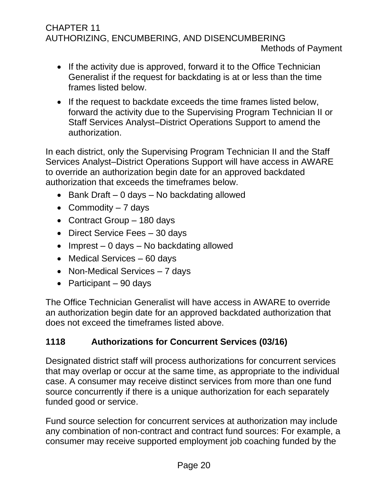- If the activity due is approved, forward it to the Office Technician Generalist if the request for backdating is at or less than the time frames listed below.
- If the request to backdate exceeds the time frames listed below, forward the activity due to the Supervising Program Technician II or Staff Services Analyst–District Operations Support to amend the authorization.

In each district, only the Supervising Program Technician II and the Staff Services Analyst–District Operations Support will have access in AWARE to override an authorization begin date for an approved backdated authorization that exceeds the timeframes below.

- Bank Draft 0 days No backdating allowed
- Commodity  $-7$  days
- Contract Group 180 days
- Direct Service Fees 30 days
- Imprest 0 days No backdating allowed
- Medical Services 60 days
- Non-Medical Services 7 days
- Participant 90 days

The Office Technician Generalist will have access in AWARE to override an authorization begin date for an approved backdated authorization that does not exceed the timeframes listed above.

## <span id="page-23-0"></span>**1118 Authorizations for Concurrent Services (03/16)**

Designated district staff will process authorizations for concurrent services that may overlap or occur at the same time, as appropriate to the individual case. A consumer may receive distinct services from more than one fund source concurrently if there is a unique authorization for each separately funded good or service.

Fund source selection for concurrent services at authorization may include any combination of non-contract and contract fund sources: For example, a consumer may receive supported employment job coaching funded by the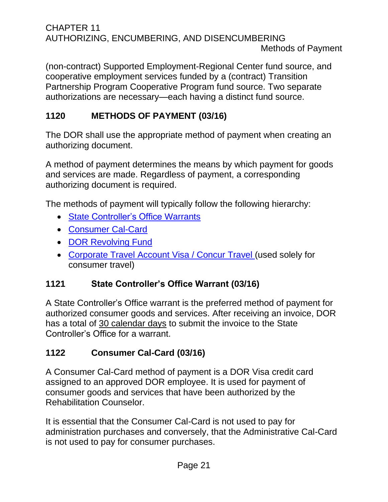CHAPTER 11 AUTHORIZING, ENCUMBERING, AND DISENCUMBERING Methods of Payment

(non-contract) Supported Employment-Regional Center fund source, and cooperative employment services funded by a (contract) Transition Partnership Program Cooperative Program fund source. Two separate authorizations are necessary—each having a distinct fund source.

## <span id="page-24-0"></span>**1120 METHODS OF PAYMENT (03/16)**

The DOR shall use the appropriate method of payment when creating an authorizing document.

A method of payment determines the means by which payment for goods and services are made. Regardless of payment, a corresponding authorizing document is required.

The methods of payment will typically follow the following hierarchy:

- State [Controller's Office Warrants](#page-24-1)
- [Consumer Cal-Card](#page-24-2)
- [DOR Revolving Fund](#page-25-0)
- [Corporate Travel Account Visa](#page-30-2) / Concur Travel (used solely for consumer travel)

## <span id="page-24-1"></span>**1121 State Controller's Office Warrant (03/16)**

A State Controller's Office warrant is the preferred method of payment for authorized consumer goods and services. After receiving an invoice, DOR has a total of 30 calendar days to submit the invoice to the State Controller's Office for a warrant.

## <span id="page-24-2"></span>**1122 Consumer Cal-Card (03/16)**

A Consumer Cal-Card method of payment is a DOR Visa credit card assigned to an approved DOR employee. It is used for payment of consumer goods and services that have been authorized by the Rehabilitation Counselor.

It is essential that the Consumer Cal-Card is not used to pay for administration purchases and conversely, that the Administrative Cal-Card is not used to pay for consumer purchases.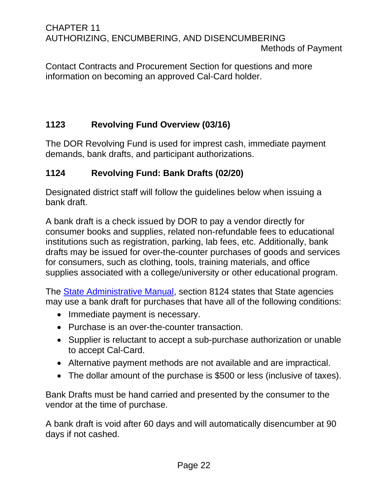Contact Contracts and Procurement Section for questions and more information on becoming an approved Cal-Card holder.

## <span id="page-25-0"></span>**1123 Revolving Fund Overview (03/16)**

The DOR Revolving Fund is used for imprest cash, immediate payment demands, bank drafts, and participant authorizations.

## <span id="page-25-1"></span>**1124 Revolving Fund: Bank Drafts (02/20)**

Designated district staff will follow the guidelines below when issuing a bank draft.

A bank draft is a check issued by DOR to pay a vendor directly for consumer books and supplies, related non-refundable fees to educational institutions such as registration, parking, lab fees, etc. Additionally, bank drafts may be issued for over-the-counter purchases of goods and services for consumers, such as clothing, tools, training materials, and office supplies associated with a college/university or other educational program.

The [State Administrative Manual,](http://sam.dgs.ca.gov/Home.aspx) section 8124 states that State agencies may use a bank draft for purchases that have all of the following conditions:

- Immediate payment is necessary.
- Purchase is an over-the-counter transaction.
- Supplier is reluctant to accept a sub-purchase authorization or unable to accept Cal-Card.
- Alternative payment methods are not available and are impractical.
- The dollar amount of the purchase is \$500 or less (inclusive of taxes).

Bank Drafts must be hand carried and presented by the consumer to the vendor at the time of purchase.

A bank draft is void after 60 days and will automatically disencumber at 90 days if not cashed.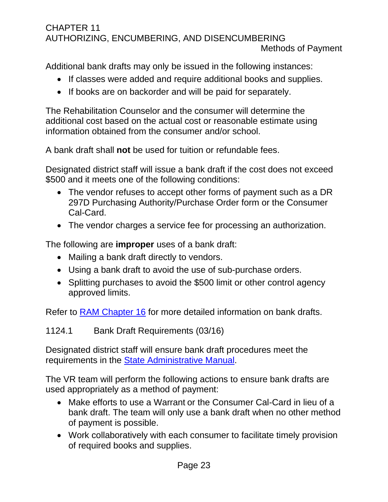Additional bank drafts may only be issued in the following instances:

- If classes were added and require additional books and supplies.
- If books are on backorder and will be paid for separately.

The Rehabilitation Counselor and the consumer will determine the additional cost based on the actual cost or reasonable estimate using information obtained from the consumer and/or school.

A bank draft shall **not** be used for tuition or refundable fees.

Designated district staff will issue a bank draft if the cost does not exceed \$500 and it meets one of the following conditions:

- The vendor refuses to accept other forms of payment such as a DR 297D Purchasing Authority/Purchase Order form or the Consumer Cal-Card.
- The vendor charges a service fee for processing an authorization.

The following are **improper** uses of a bank draft:

- Mailing a bank draft directly to vendors.
- Using a bank draft to avoid the use of sub-purchase orders.
- Splitting purchases to avoid the \$500 limit or other control agency approved limits.

Refer to RAM [Chapter 16](http://indor/ram/ram/rehabilitation-administrative-manual-ram) for more detailed information on bank drafts.

<span id="page-26-0"></span>1124.1 Bank Draft Requirements (03/16)

Designated district staff will ensure bank draft procedures meet the requirements in the [State Administrative Ma](http://sam.dgs.ca.gov/Home.aspx)nual.

The VR team will perform the following actions to ensure bank drafts are used appropriately as a method of payment:

- Make efforts to use a Warrant or the Consumer Cal-Card in lieu of a bank draft. The team will only use a bank draft when no other method of payment is possible.
- Work collaboratively with each consumer to facilitate timely provision of required books and supplies.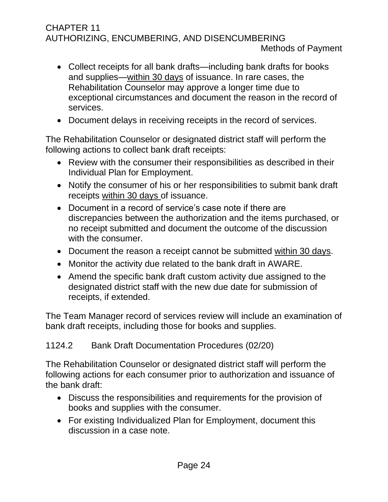- Collect receipts for all bank drafts—including bank drafts for books and supplies—within 30 days of issuance. In rare cases, the Rehabilitation Counselor may approve a longer time due to exceptional circumstances and document the reason in the record of services.
- Document delays in receiving receipts in the record of services.

The Rehabilitation Counselor or designated district staff will perform the following actions to collect bank draft receipts:

- Review with the consumer their responsibilities as described in their Individual Plan for Employment.
- Notify the consumer of his or her responsibilities to submit bank draft receipts within 30 days of issuance.
- Document in a record of service's case note if there are discrepancies between the authorization and the items purchased, or no receipt submitted and document the outcome of the discussion with the consumer.
- Document the reason a receipt cannot be submitted within 30 days.
- Monitor the activity due related to the bank draft in AWARE.
- Amend the specific bank draft custom activity due assigned to the designated district staff with the new due date for submission of receipts, if extended.

The Team Manager record of services review will include an examination of bank draft receipts, including those for books and supplies.

## <span id="page-27-0"></span>1124.2 Bank Draft Documentation Procedures (02/20)

The Rehabilitation Counselor or designated district staff will perform the following actions for each consumer prior to authorization and issuance of the bank draft:

- Discuss the responsibilities and requirements for the provision of books and supplies with the consumer.
- For existing Individualized Plan for Employment, document this discussion in a case note.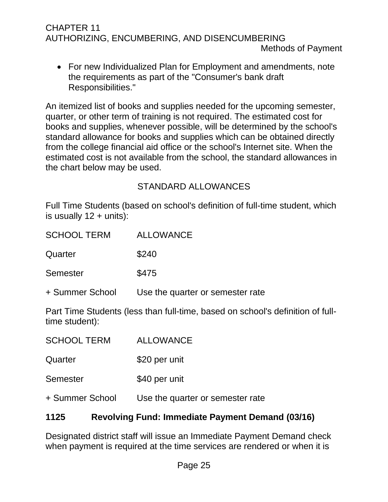• For new Individualized Plan for Employment and amendments, note the requirements as part of the "Consumer's bank draft Responsibilities."

An itemized list of books and supplies needed for the upcoming semester, quarter, or other term of training is not required. The estimated cost for books and supplies, whenever possible, will be determined by the school's standard allowance for books and supplies which can be obtained directly from the college financial aid office or the school's Internet site. When the estimated cost is not available from the school, the standard allowances in the chart below may be used.

## STANDARD ALLOWANCES

Full Time Students (based on school's definition of full-time student, which is usually  $12 + \text{units}$ :

| <b>SCHOOL TERM</b> | ALLOWANCE                        |
|--------------------|----------------------------------|
| Quarter            | \$240                            |
| <b>Semester</b>    | \$475                            |
| + Summer School    | Use the quarter or semester rate |

Part Time Students (less than full-time, based on school's definition of fulltime student):

| <b>SCHOOL TERM</b> | <b>ALLOWANCE</b>                 |
|--------------------|----------------------------------|
| Quarter            | \$20 per unit                    |
| Semester           | \$40 per unit                    |
| + Summer School    | Use the quarter or semester rate |

## <span id="page-28-0"></span>**1125 Revolving Fund: Immediate Payment Demand (03/16)**

Designated district staff will issue an Immediate Payment Demand check when payment is required at the time services are rendered or when it is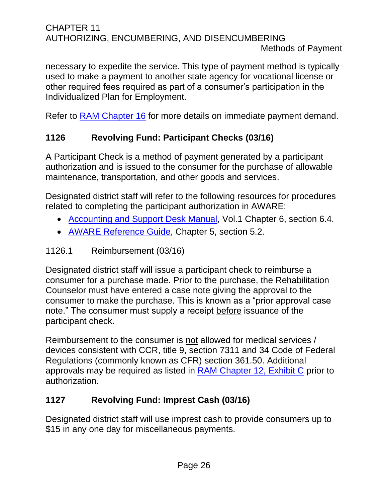#### CHAPTER 11 AUTHORIZING, ENCUMBERING, AND DISENCUMBERING Methods of Payment

necessary to expedite the service. This type of payment method is typically used to make a payment to another state agency for vocational license or other required fees required as part of a consumer's participation in the Individualized Plan for Employment.

Refer to [RAM Chapter 16](http://indor/ram/ram/rehabilitation-administrative-manual-ram) for more details on immediate payment demand.

## <span id="page-29-0"></span>**1126 Revolving Fund: Participant Checks (03/16)**

A Participant Check is a method of payment generated by a participant authorization and is issued to the consumer for the purchase of allowable maintenance, transportation, and other goods and services.

Designated district staff will refer to the following resources for procedures related to completing the participant authorization in AWARE:

- [Accounting and Support Desk Manual,](file://///dorgroup/group/Public%20Folder/Accounting%20and%20Support%20Desk%20Manuals) Vol.1 Chapter 6, section 6.4.
- [AWARE Reference Guide,](http://indor/division/itsd/aware) Chapter 5, section 5.2.

#### <span id="page-29-1"></span>1126.1 Reimbursement (03/16)

Designated district staff will issue a participant check to reimburse a consumer for a purchase made. Prior to the purchase, the Rehabilitation Counselor must have entered a case note giving the approval to the consumer to make the purchase. This is known as a "prior approval case note." The consumer must supply a receipt before issuance of the participant check.

Reimbursement to the consumer is not allowed for medical services / devices consistent with CCR, title 9, section 7311 and 34 Code of Federal Regulations (commonly known as CFR) section 361.50. Additional approvals may be required as listed in RAM [Chapter 12, Exhibit C](http://indor/ram/ram/rehabilitation-administrative-manual-ram) prior to authorization.

## <span id="page-29-2"></span>**1127 Revolving Fund: Imprest Cash (03/16)**

Designated district staff will use imprest cash to provide consumers up to \$15 in any one day for miscellaneous payments.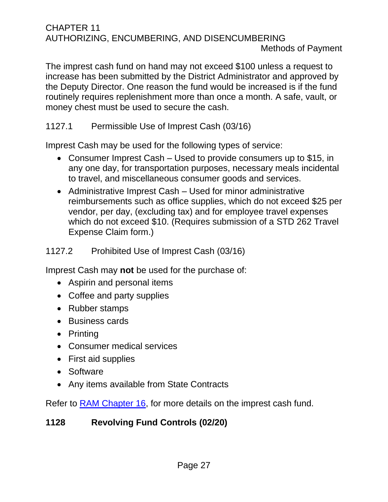Methods of Payment

The imprest cash fund on hand may not exceed \$100 unless a request to increase has been submitted by the District Administrator and approved by the Deputy Director. One reason the fund would be increased is if the fund routinely requires replenishment more than once a month. A safe, vault, or money chest must be used to secure the cash.

## <span id="page-30-0"></span>1127.1 Permissible Use of Imprest Cash (03/16)

Imprest Cash may be used for the following types of service:

- Consumer Imprest Cash Used to provide consumers up to \$15, in any one day, for transportation purposes, necessary meals incidental to travel, and miscellaneous consumer goods and services.
- Administrative Imprest Cash Used for minor administrative reimbursements such as office supplies, which do not exceed \$25 per vendor, per day, (excluding tax) and for employee travel expenses which do not exceed \$10. (Requires submission of a STD 262 Travel Expense Claim form.)

## <span id="page-30-1"></span>1127.2 Prohibited Use of Imprest Cash (03/16)

Imprest Cash may **not** be used for the purchase of:

- Aspirin and personal items
- Coffee and party supplies
- Rubber stamps
- Business cards
- Printing
- Consumer medical services
- First aid supplies
- Software
- Any items available from State Contracts

Refer to [RAM Chapter 16,](http://indor/ram/ram/rehabilitation-administrative-manual-ram) for more details on the imprest cash fund.

## <span id="page-30-2"></span>**1128 Revolving Fund Controls (02/20)**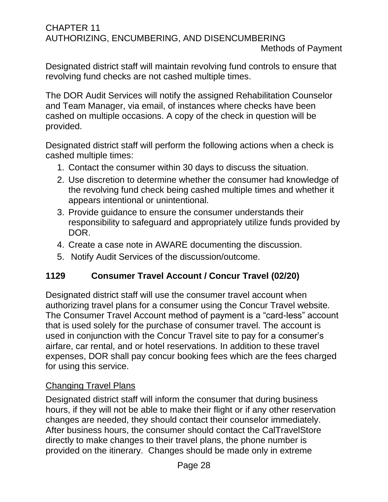Designated district staff will maintain revolving fund controls to ensure that revolving fund checks are not cashed multiple times.

The DOR Audit Services will notify the assigned Rehabilitation Counselor and Team Manager, via email, of instances where checks have been cashed on multiple occasions. A copy of the check in question will be provided.

Designated district staff will perform the following actions when a check is cashed multiple times:

- 1. Contact the consumer within 30 days to discuss the situation.
- 2. Use discretion to determine whether the consumer had knowledge of the revolving fund check being cashed multiple times and whether it appears intentional or unintentional.
- 3. Provide guidance to ensure the consumer understands their responsibility to safeguard and appropriately utilize funds provided by DOR.
- 4. Create a case note in AWARE documenting the discussion.
- 5. Notify Audit Services of the discussion/outcome.

## <span id="page-31-0"></span>**1129 Consumer Travel Account / Concur Travel (02/20)**

Designated district staff will use the consumer travel account when authorizing travel plans for a consumer using the Concur Travel website. The Consumer Travel Account method of payment is a "card-less" account that is used solely for the purchase of consumer travel. The account is used in conjunction with the Concur Travel site to pay for a consumer's airfare, car rental, and or hotel reservations. In addition to these travel expenses, DOR shall pay concur booking fees which are the fees charged for using this service.

## Changing Travel Plans

Designated district staff will inform the consumer that during business hours, if they will not be able to make their flight or if any other reservation changes are needed, they should contact their counselor immediately. After business hours, the consumer should contact the CalTravelStore directly to make changes to their travel plans, the phone number is provided on the itinerary. Changes should be made only in extreme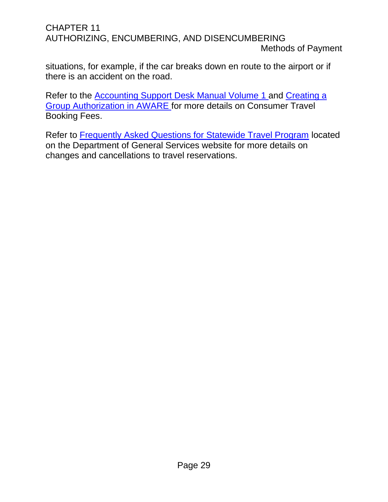Methods of Payment

situations, for example, if the car breaks down en route to the airport or if there is an accident on the road.

Refer to the [Accounting Support Desk Manual Volume 1](file://///dorgroup/group/Public%20Folder/Accounting%20and%20Support%20Desk%20Manuals/ASDM%20Volume%201%20(VR%20Teams)%20Fourth%20Edition%20(2019).docx) and [Creating a](http://indor/asd/financial-management-branch/accounting-services/consumer-travel-guide)  [Group Authorization in AWARE f](http://indor/asd/financial-management-branch/accounting-services/consumer-travel-guide)or more details on Consumer Travel Booking Fees.

Refer to [Frequently Asked Questions for Statewide Travel Program](https://www.dgs.ca.gov/OFAM/Travel/Resources/Page-Content/Resources-List-Folder/FAQ) located on the Department of General Services website for more details on changes and cancellations to travel reservations.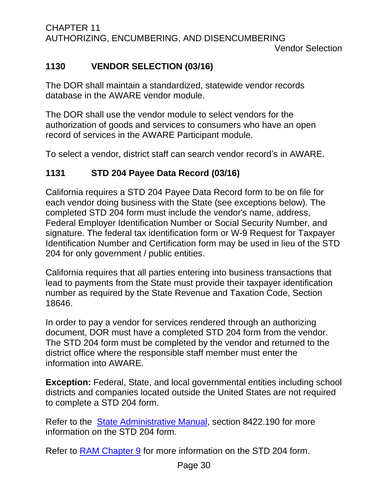Vendor Selection

## <span id="page-33-0"></span>**1130 VENDOR SELECTION (03/16)**

The DOR shall maintain a standardized, statewide vendor records database in the AWARE vendor module.

The DOR shall use the vendor module to select vendors for the authorization of goods and services to consumers who have an open record of services in the AWARE Participant module.

To select a vendor, district staff can search vendor record's in AWARE.

## <span id="page-33-1"></span>**1131 STD 204 Payee Data Record (03/16)**

California requires a STD 204 Payee Data Record form to be on file for each vendor doing business with the State (see exceptions below). The completed STD 204 form must include the vendor's name, address, Federal Employer Identification Number or Social Security Number, and signature. The federal tax identification form or W-9 Request for Taxpayer Identification Number and Certification form may be used in lieu of the STD 204 for only government / public entities.

California requires that all parties entering into business transactions that lead to payments from the State must provide their taxpayer identification number as required by the State Revenue and Taxation Code, Section 18646.

In order to pay a vendor for services rendered through an authorizing document, DOR must have a completed STD 204 form from the vendor. The STD 204 form must be completed by the vendor and returned to the district office where the responsible staff member must enter the information into AWARE.

**Exception:** Federal, State, and local governmental entities including school districts and companies located outside the United States are not required to complete a STD 204 form.

Refer to the [State Administrative Manual,](http://sam.dgs.ca.gov/Home.aspx) section 8422.190 for more information on the STD 204 form.

Refer to RAM [Chapter 9](http://indor/ram/ram/rehabilitation-administrative-manual-ram) for more information on the STD 204 form.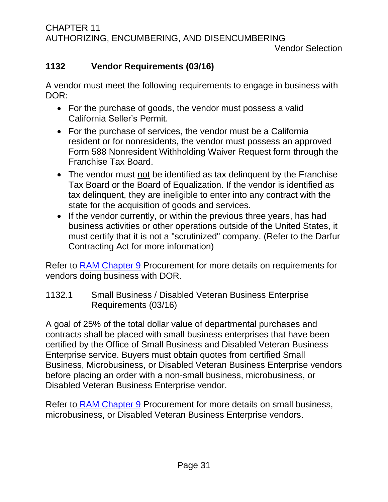## <span id="page-34-0"></span>**1132 Vendor Requirements (03/16)**

A vendor must meet the following requirements to engage in business with DOR:

- For the purchase of goods, the vendor must possess a valid California Seller's Permit.
- For the purchase of services, the vendor must be a California resident or for nonresidents, the vendor must possess an approved Form 588 Nonresident Withholding Waiver Request form through the Franchise Tax Board.
- The vendor must not be identified as tax delinquent by the Franchise Tax Board or the Board of Equalization. If the vendor is identified as tax delinquent, they are ineligible to enter into any contract with the state for the acquisition of goods and services.
- If the vendor currently, or within the previous three years, has had business activities or other operations outside of the United States, it must certify that it is not a "scrutinized" company. (Refer to the Darfur Contracting Act for more information)

Refer to RAM [Chapter 9](http://indor/ram/ram/rehabilitation-administrative-manual-ram) Procurement for more details on requirements for vendors doing business with DOR.

<span id="page-34-1"></span>1132.1 Small Business / Disabled Veteran Business Enterprise Requirements (03/16)

A goal of 25% of the total dollar value of departmental purchases and contracts shall be placed with small business enterprises that have been certified by the Office of Small Business and Disabled Veteran Business Enterprise service. Buyers must obtain quotes from certified Small Business, Microbusiness, or Disabled Veteran Business Enterprise vendors before placing an order with a non-small business, microbusiness, or Disabled Veteran Business Enterprise vendor.

Refer to RAM [Chapter 9](http://indor/ram/ram/rehabilitation-administrative-manual-ram) Procurement for more details on small business, microbusiness, or Disabled Veteran Business Enterprise vendors.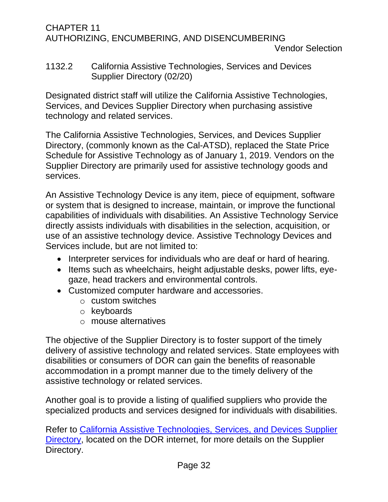#### <span id="page-35-0"></span>1132.2 California Assistive Technologies, Services and Devices Supplier Directory (02/20)

Designated district staff will utilize the California Assistive Technologies, Services, and Devices Supplier Directory when purchasing assistive technology and related services.

The California Assistive Technologies, Services, and Devices Supplier Directory, (commonly known as the Cal-ATSD), replaced the State Price Schedule for Assistive Technology as of January 1, 2019. Vendors on the Supplier Directory are primarily used for assistive technology goods and services.

An Assistive Technology Device is any item, piece of equipment, software or system that is designed to increase, maintain, or improve the functional capabilities of individuals with disabilities. An Assistive Technology Service directly assists individuals with disabilities in the selection, acquisition, or use of an assistive technology device. Assistive Technology Devices and Services include, but are not limited to:

- Interpreter services for individuals who are deaf or hard of hearing.
- Items such as wheelchairs, height adjustable desks, power lifts, eyegaze, head trackers and environmental controls.
- Customized computer hardware and accessories.
	- o custom switches
	- o keyboards
	- o mouse alternatives

The objective of the Supplier Directory is to foster support of the timely delivery of assistive technology and related services. State employees with disabilities or consumers of DOR can gain the benefits of reasonable accommodation in a prompt manner due to the timely delivery of the assistive technology or related services.

Another goal is to provide a listing of qualified suppliers who provide the specialized products and services designed for individuals with disabilities.

Refer to [California Assistive Technologies, Services, and Devices Supplier](https://www.dor.ca.gov/CAL-ATSD)  [Directory,](https://www.dor.ca.gov/CAL-ATSD) located on the DOR internet, for more details on the Supplier Directory.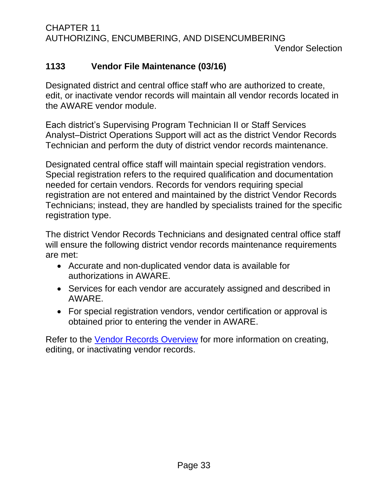Vendor Selection

## <span id="page-36-0"></span>**1133 Vendor File Maintenance (03/16)**

Designated district and central office staff who are authorized to create, edit, or inactivate vendor records will maintain all vendor records located in the AWARE vendor module.

Each district's Supervising Program Technician II or Staff Services Analyst–District Operations Support will act as the district Vendor Records Technician and perform the duty of district vendor records maintenance.

Designated central office staff will maintain special registration vendors. Special registration refers to the required qualification and documentation needed for certain vendors. Records for vendors requiring special registration are not entered and maintained by the district Vendor Records Technicians; instead, they are handled by specialists trained for the specific registration type.

The district Vendor Records Technicians and designated central office staff will ensure the following district vendor records maintenance requirements are met:

- Accurate and non-duplicated vendor data is available for authorizations in AWARE.
- Services for each vendor are accurately assigned and described in AWARE.
- For special registration vendors, vendor certification or approval is obtained prior to entering the vender in AWARE.

Refer to the [Vendor Records Overview](file://///dorgroup/group/Public%20Folder/Clerical%20-%20Fiscal%20Information/Training%20Materials/Vendors/Vendor%20records%20overview%20April%202014%20update%202014-03-24%20(Final).pdf) for more information on creating, editing, or inactivating vendor records.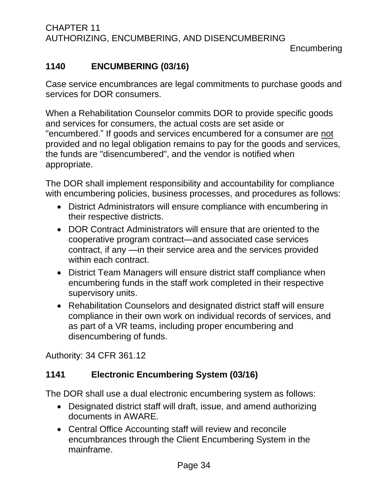## <span id="page-37-0"></span>**1140 ENCUMBERING (03/16)**

Case service encumbrances are legal commitments to purchase goods and services for DOR consumers.

When a Rehabilitation Counselor commits DOR to provide specific goods and services for consumers, the actual costs are set aside or "encumbered." If goods and services encumbered for a consumer are not provided and no legal obligation remains to pay for the goods and services, the funds are "disencumbered", and the vendor is notified when appropriate.

The DOR shall implement responsibility and accountability for compliance with encumbering policies, business processes, and procedures as follows:

- District Administrators will ensure compliance with encumbering in their respective districts.
- DOR Contract Administrators will ensure that are oriented to the cooperative program contract—and associated case services contract, if any —in their service area and the services provided within each contract.
- District Team Managers will ensure district staff compliance when encumbering funds in the staff work completed in their respective supervisory units.
- Rehabilitation Counselors and designated district staff will ensure compliance in their own work on individual records of services, and as part of a VR teams, including proper encumbering and disencumbering of funds.

Authority: 34 CFR 361.12

## <span id="page-37-1"></span>**1141 Electronic Encumbering System (03/16)**

The DOR shall use a dual electronic encumbering system as follows:

- Designated district staff will draft, issue, and amend authorizing documents in AWARE.
- Central Office Accounting staff will review and reconcile encumbrances through the Client Encumbering System in the mainframe.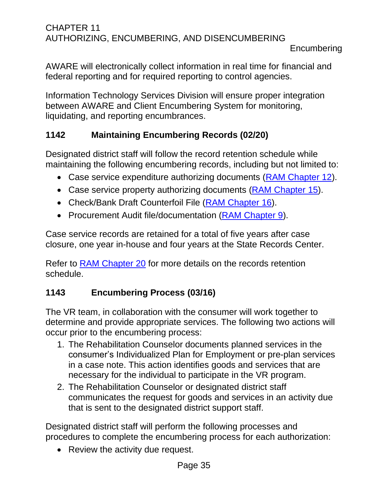AWARE will electronically collect information in real time for financial and federal reporting and for required reporting to control agencies.

Information Technology Services Division will ensure proper integration between AWARE and Client Encumbering System for monitoring, liquidating, and reporting encumbrances.

## <span id="page-38-0"></span>**1142 Maintaining Encumbering Records (02/20)**

Designated district staff will follow the record retention schedule while maintaining the following encumbering records, including but not limited to:

- Case service expenditure authorizing documents (RAM [Chapter 12\)](http://indor/ram/ram/rehabilitation-administrative-manual-ram).
- Case service property authorizing documents (RAM [Chapter 15\)](http://indor/ram/ram/rehabilitation-administrative-manual-ram).
- Check/Bank Draft Counterfoil File (RAM [Chapter 16\)](http://indor/ram/ram/rehabilitation-administrative-manual-ram).
- Procurement Audit file/documentation (RAM [Chapter 9\)](http://indor/ram/ram/rehabilitation-administrative-manual-ram).

Case service records are retained for a total of five years after case closure, one year in-house and four years at the State Records Center.

Refer to RAM [Chapter 20](http://indor/ram/ram/rehabilitation-administrative-manual-ram) for more details on the records retention schedule.

## <span id="page-38-1"></span>**1143 Encumbering Process (03/16)**

The VR team, in collaboration with the consumer will work together to determine and provide appropriate services. The following two actions will occur prior to the encumbering process:

- 1. The Rehabilitation Counselor documents planned services in the consumer's Individualized Plan for Employment or pre-plan services in a case note. This action identifies goods and services that are necessary for the individual to participate in the VR program.
- 2. The Rehabilitation Counselor or designated district staff communicates the request for goods and services in an activity due that is sent to the designated district support staff.

Designated district staff will perform the following processes and procedures to complete the encumbering process for each authorization:

• Review the activity due request.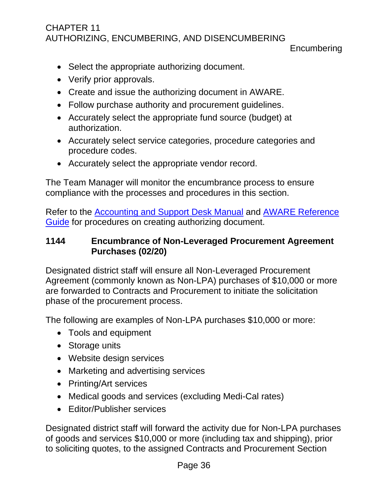**Encumbering** 

- Select the appropriate authorizing document.
- Verify prior approvals.
- Create and issue the authorizing document in AWARE.
- Follow purchase authority and procurement guidelines.
- Accurately select the appropriate fund source (budget) at authorization.
- Accurately select service categories, procedure categories and procedure codes.
- Accurately select the appropriate vendor record.

The Team Manager will monitor the encumbrance process to ensure compliance with the processes and procedures in this section.

Refer to the [Accounting and Support Desk Manual](file://///dorgroup/group/Public%20Folder/Accounting%20and%20Support%20Desk%20Manuals) and [AWARE Reference](http://indor/division/itsd/aware)  [Guide](http://indor/division/itsd/aware) for procedures on creating authorizing document.

#### <span id="page-39-0"></span>**1144 Encumbrance of Non-Leveraged Procurement Agreement Purchases (02/20)**

Designated district staff will ensure all Non-Leveraged Procurement Agreement (commonly known as Non-LPA) purchases of \$10,000 or more are forwarded to Contracts and Procurement to initiate the solicitation phase of the procurement process.

The following are examples of Non-LPA purchases \$10,000 or more:

- Tools and equipment
- Storage units
- Website design services
- Marketing and advertising services
- Printing/Art services
- Medical goods and services (excluding Medi-Cal rates)
- Editor/Publisher services

Designated district staff will forward the activity due for Non-LPA purchases of goods and services \$10,000 or more (including tax and shipping), prior to soliciting quotes, to the assigned Contracts and Procurement Section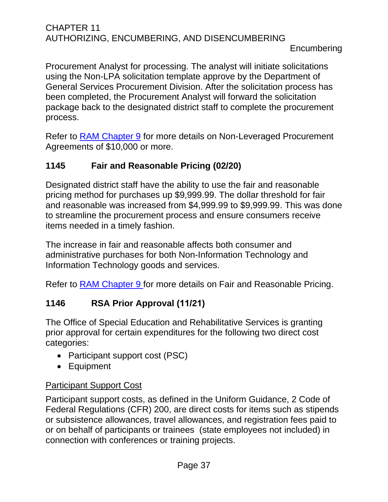Procurement Analyst for processing. The analyst will initiate solicitations using the Non-LPA solicitation template approve by the Department of General Services Procurement Division. After the solicitation process has been completed, the Procurement Analyst will forward the solicitation package back to the designated district staff to complete the procurement process.

Refer to RAM [Chapter 9](http://indor/ram/ram/rehabilitation-administrative-manual-ram) for more details on Non-Leveraged Procurement Agreements of \$10,000 or more.

## <span id="page-40-0"></span>**1145 Fair and Reasonable Pricing (02/20)**

Designated district staff have the ability to use the fair and reasonable pricing method for purchases up \$9,999.99. The dollar threshold for fair and reasonable was increased from \$4,999.99 to \$9,999.99. This was done to streamline the procurement process and ensure consumers receive items needed in a timely fashion.

The increase in fair and reasonable affects both consumer and administrative purchases for both Non-Information Technology and Information Technology goods and services.

Refer to RAM [Chapter 9](http://indor/ram/ram/rehabilitation-administrative-manual-ram) for more details on Fair and Reasonable Pricing.

## <span id="page-40-1"></span>**1146 RSA Prior Approval (11/21)**

The Office of Special Education and Rehabilitative Services is granting prior approval for certain expenditures for the following two direct cost categories:

- Participant support cost (PSC)
- Equipment

## Participant Support Cost

Participant support costs, as defined in the Uniform Guidance, 2 Code of Federal Regulations (CFR) 200, are direct costs for items such as stipends or subsistence allowances, travel allowances, and registration fees paid to or on behalf of participants or trainees (state employees not included) in connection with conferences or training projects.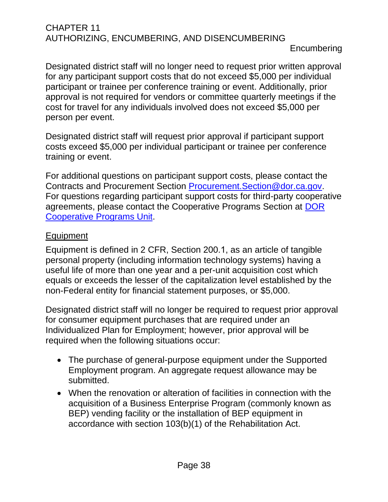Designated district staff will no longer need to request prior written approval for any participant support costs that do not exceed \$5,000 per individual participant or trainee per conference training or event. Additionally, prior approval is not required for vendors or committee quarterly meetings if the cost for travel for any individuals involved does not exceed \$5,000 per person per event.

Designated district staff will request prior approval if participant support costs exceed \$5,000 per individual participant or trainee per conference training or event.

For additional questions on participant support costs, please contact the Contracts and Procurement Section [Procurement.Section@dor.ca.gov.](mailto:Procurement.Section@dor.ca.gov) For questions regarding participant support costs for third-party cooperative agreements, please contact the Cooperative Programs Section at [DOR](mailto:DOR%20Cooperative%20Programs%20Unit%20%3cDORCooperativeProgramsUnit@dor.ca.gov%3e)  [Cooperative Programs Unit.](mailto:DOR%20Cooperative%20Programs%20Unit%20%3cDORCooperativeProgramsUnit@dor.ca.gov%3e)

## Equipment

Equipment is defined in 2 CFR, Section 200.1, as an article of tangible personal property (including information technology systems) having a useful life of more than one year and a per-unit acquisition cost which equals or exceeds the lesser of the capitalization level established by the non-Federal entity for financial statement purposes, or \$5,000.

Designated district staff will no longer be required to request prior approval for consumer equipment purchases that are required under an Individualized Plan for Employment; however, prior approval will be required when the following situations occur:

- The purchase of general-purpose equipment under the Supported Employment program. An aggregate request allowance may be submitted.
- When the renovation or alteration of facilities in connection with the acquisition of a Business Enterprise Program (commonly known as BEP) vending facility or the installation of BEP equipment in accordance with section 103(b)(1) of the Rehabilitation Act.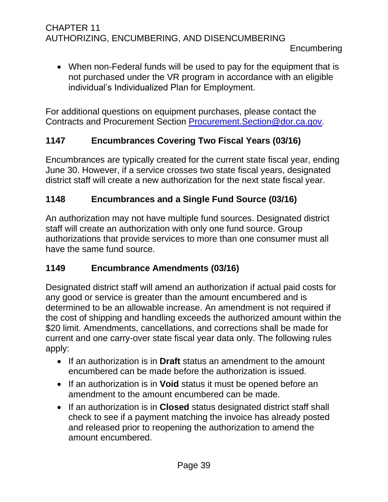• When non-Federal funds will be used to pay for the equipment that is not purchased under the VR program in accordance with an eligible individual's Individualized Plan for Employment.

For additional questions on equipment purchases, please contact the Contracts and Procurement Section [Procurement.Section@dor.ca.gov.](mailto:Procurement.Section@dor.ca.gov)

## <span id="page-42-0"></span>**1147 Encumbrances Covering Two Fiscal Years (03/16)**

Encumbrances are typically created for the current state fiscal year, ending June 30. However, if a service crosses two state fiscal years, designated district staff will create a new authorization for the next state fiscal year.

## <span id="page-42-1"></span>**1148 Encumbrances and a Single Fund Source (03/16)**

An authorization may not have multiple fund sources. Designated district staff will create an authorization with only one fund source. Group authorizations that provide services to more than one consumer must all have the same fund source.

## <span id="page-42-2"></span>**1149 Encumbrance Amendments (03/16)**

Designated district staff will amend an authorization if actual paid costs for any good or service is greater than the amount encumbered and is determined to be an allowable increase. An amendment is not required if the cost of shipping and handling exceeds the authorized amount within the \$20 limit. Amendments, cancellations, and corrections shall be made for current and one carry-over state fiscal year data only. The following rules apply:

- If an authorization is in **Draft** status an amendment to the amount encumbered can be made before the authorization is issued.
- If an authorization is in **Void** status it must be opened before an amendment to the amount encumbered can be made.
- If an authorization is in **Closed** status designated district staff shall check to see if a payment matching the invoice has already posted and released prior to reopening the authorization to amend the amount encumbered.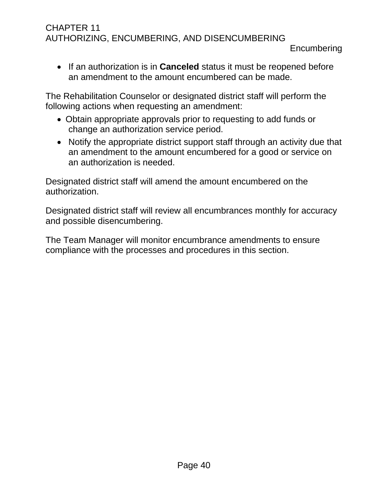• If an authorization is in **Canceled** status it must be reopened before an amendment to the amount encumbered can be made.

The Rehabilitation Counselor or designated district staff will perform the following actions when requesting an amendment:

- Obtain appropriate approvals prior to requesting to add funds or change an authorization service period.
- Notify the appropriate district support staff through an activity due that an amendment to the amount encumbered for a good or service on an authorization is needed.

Designated district staff will amend the amount encumbered on the authorization.

Designated district staff will review all encumbrances monthly for accuracy and possible disencumbering.

The Team Manager will monitor encumbrance amendments to ensure compliance with the processes and procedures in this section.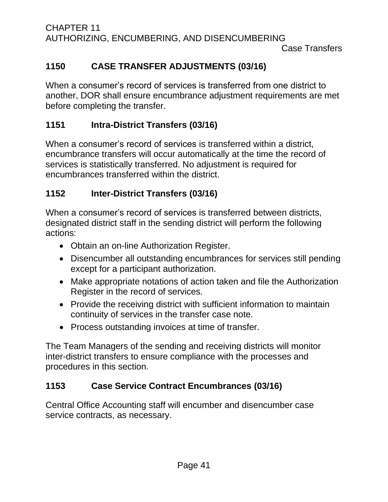## <span id="page-44-0"></span>**1150 CASE TRANSFER ADJUSTMENTS (03/16)**

When a consumer's record of services is transferred from one district to another, DOR shall ensure encumbrance adjustment requirements are met before completing the transfer.

## <span id="page-44-1"></span>**1151 Intra-District Transfers (03/16)**

When a consumer's record of services is transferred within a district, encumbrance transfers will occur automatically at the time the record of services is statistically transferred. No adjustment is required for encumbrances transferred within the district.

## <span id="page-44-2"></span>**1152 Inter-District Transfers (03/16)**

When a consumer's record of services is transferred between districts, designated district staff in the sending district will perform the following actions:

- Obtain an on-line Authorization Register.
- Disencumber all outstanding encumbrances for services still pending except for a participant authorization.
- Make appropriate notations of action taken and file the Authorization Register in the record of services.
- Provide the receiving district with sufficient information to maintain continuity of services in the transfer case note.
- Process outstanding invoices at time of transfer.

The Team Managers of the sending and receiving districts will monitor inter-district transfers to ensure compliance with the processes and procedures in this section.

## <span id="page-44-3"></span>**1153 Case Service Contract Encumbrances (03/16)**

Central Office Accounting staff will encumber and disencumber case service contracts, as necessary.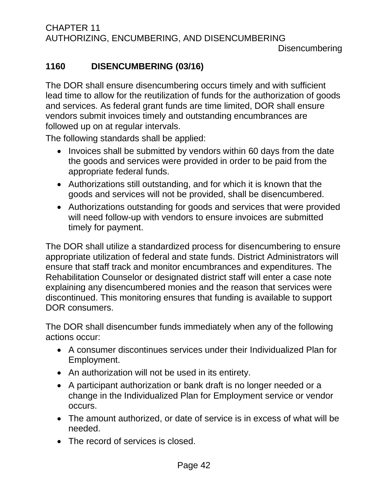## <span id="page-45-0"></span>**1160 DISENCUMBERING (03/16)**

The DOR shall ensure disencumbering occurs timely and with sufficient lead time to allow for the reutilization of funds for the authorization of goods and services. As federal grant funds are time limited, DOR shall ensure vendors submit invoices timely and outstanding encumbrances are followed up on at regular intervals.

The following standards shall be applied:

- Invoices shall be submitted by vendors within 60 days from the date the goods and services were provided in order to be paid from the appropriate federal funds.
- Authorizations still outstanding, and for which it is known that the goods and services will not be provided, shall be disencumbered.
- Authorizations outstanding for goods and services that were provided will need follow-up with vendors to ensure invoices are submitted timely for payment.

The DOR shall utilize a standardized process for disencumbering to ensure appropriate utilization of federal and state funds. District Administrators will ensure that staff track and monitor encumbrances and expenditures. The Rehabilitation Counselor or designated district staff will enter a case note explaining any disencumbered monies and the reason that services were discontinued. This monitoring ensures that funding is available to support DOR consumers.

The DOR shall disencumber funds immediately when any of the following actions occur:

- A consumer discontinues services under their Individualized Plan for Employment.
- An authorization will not be used in its entirety.
- A participant authorization or bank draft is no longer needed or a change in the Individualized Plan for Employment service or vendor occurs.
- The amount authorized, or date of service is in excess of what will be needed.
- The record of services is closed.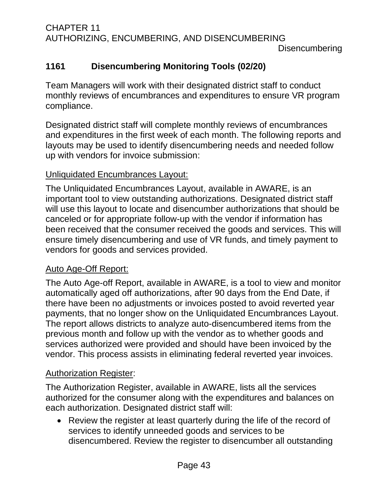## <span id="page-46-0"></span>**1161 Disencumbering Monitoring Tools (02/20)**

Team Managers will work with their designated district staff to conduct monthly reviews of encumbrances and expenditures to ensure VR program compliance.

Designated district staff will complete monthly reviews of encumbrances and expenditures in the first week of each month. The following reports and layouts may be used to identify disencumbering needs and needed follow up with vendors for invoice submission:

#### Unliquidated Encumbrances Layout:

The Unliquidated Encumbrances Layout, available in AWARE, is an important tool to view outstanding authorizations. Designated district staff will use this layout to locate and disencumber authorizations that should be canceled or for appropriate follow-up with the vendor if information has been received that the consumer received the goods and services. This will ensure timely disencumbering and use of VR funds, and timely payment to vendors for goods and services provided.

## Auto Age-Off Report:

The Auto Age-off Report, available in AWARE, is a tool to view and monitor automatically aged off authorizations, after 90 days from the End Date, if there have been no adjustments or invoices posted to avoid reverted year payments, that no longer show on the Unliquidated Encumbrances Layout. The report allows districts to analyze auto-disencumbered items from the previous month and follow up with the vendor as to whether goods and services authorized were provided and should have been invoiced by the vendor. This process assists in eliminating federal reverted year invoices.

## Authorization Register:

The Authorization Register, available in AWARE, lists all the services authorized for the consumer along with the expenditures and balances on each authorization. Designated district staff will:

• Review the register at least quarterly during the life of the record of services to identify unneeded goods and services to be disencumbered. Review the register to disencumber all outstanding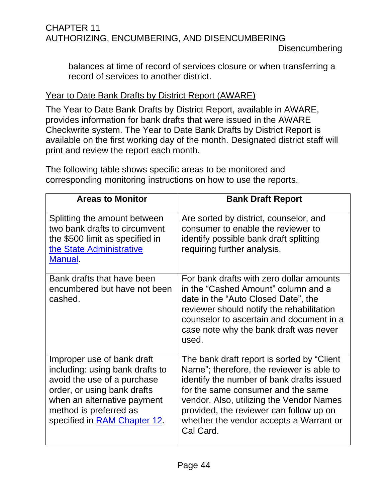balances at time of record of services closure or when transferring a record of services to another district.

## Year to Date Bank Drafts by District Report (AWARE)

The Year to Date Bank Drafts by District Report, available in AWARE, provides information for bank drafts that were issued in the AWARE Checkwrite system. The Year to Date Bank Drafts by District Report is available on the first working day of the month. Designated district staff will print and review the report each month.

The following table shows specific areas to be monitored and corresponding monitoring instructions on how to use the reports.

| <b>Areas to Monitor</b>                                                                                                                                                                                              | <b>Bank Draft Report</b>                                                                                                                                                                                                                                                                                                   |
|----------------------------------------------------------------------------------------------------------------------------------------------------------------------------------------------------------------------|----------------------------------------------------------------------------------------------------------------------------------------------------------------------------------------------------------------------------------------------------------------------------------------------------------------------------|
| Splitting the amount between<br>two bank drafts to circumvent<br>the \$500 limit as specified in<br>the State Administrative<br>Manual.                                                                              | Are sorted by district, counselor, and<br>consumer to enable the reviewer to<br>identify possible bank draft splitting<br>requiring further analysis.                                                                                                                                                                      |
| Bank drafts that have been<br>encumbered but have not been<br>cashed.                                                                                                                                                | For bank drafts with zero dollar amounts<br>in the "Cashed Amount" column and a<br>date in the "Auto Closed Date", the<br>reviewer should notify the rehabilitation<br>counselor to ascertain and document in a<br>case note why the bank draft was never<br>used.                                                         |
| Improper use of bank draft<br>including: using bank drafts to<br>avoid the use of a purchase<br>order, or using bank drafts<br>when an alternative payment<br>method is preferred as<br>specified in RAM Chapter 12. | The bank draft report is sorted by "Client"<br>Name"; therefore, the reviewer is able to<br>identify the number of bank drafts issued<br>for the same consumer and the same<br>vendor. Also, utilizing the Vendor Names<br>provided, the reviewer can follow up on<br>whether the vendor accepts a Warrant or<br>Cal Card. |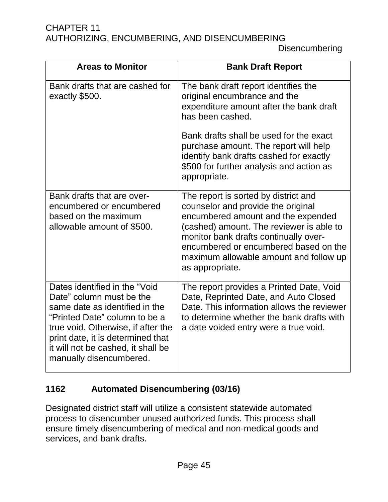Disencumbering

| <b>Areas to Monitor</b>                                                                                                                                                                                                                                                  | <b>Bank Draft Report</b>                                                                                                                                                                                                                                                                                    |
|--------------------------------------------------------------------------------------------------------------------------------------------------------------------------------------------------------------------------------------------------------------------------|-------------------------------------------------------------------------------------------------------------------------------------------------------------------------------------------------------------------------------------------------------------------------------------------------------------|
| Bank drafts that are cashed for<br>exactly \$500.                                                                                                                                                                                                                        | The bank draft report identifies the<br>original encumbrance and the<br>expenditure amount after the bank draft<br>has been cashed.                                                                                                                                                                         |
|                                                                                                                                                                                                                                                                          | Bank drafts shall be used for the exact<br>purchase amount. The report will help<br>identify bank drafts cashed for exactly<br>\$500 for further analysis and action as<br>appropriate.                                                                                                                     |
| Bank drafts that are over-<br>encumbered or encumbered<br>based on the maximum<br>allowable amount of \$500.                                                                                                                                                             | The report is sorted by district and<br>counselor and provide the original<br>encumbered amount and the expended<br>(cashed) amount. The reviewer is able to<br>monitor bank drafts continually over-<br>encumbered or encumbered based on the<br>maximum allowable amount and follow up<br>as appropriate. |
| Dates identified in the "Void<br>Date" column must be the<br>same date as identified in the<br>"Printed Date" column to be a<br>true void. Otherwise, if after the<br>print date, it is determined that<br>it will not be cashed, it shall be<br>manually disencumbered. | The report provides a Printed Date, Void<br>Date, Reprinted Date, and Auto Closed<br>Date. This information allows the reviewer<br>to determine whether the bank drafts with<br>a date voided entry were a true void.                                                                                       |

## <span id="page-48-0"></span>**1162 Automated Disencumbering (03/16)**

Designated district staff will utilize a consistent statewide automated process to disencumber unused authorized funds. This process shall ensure timely disencumbering of medical and non-medical goods and services, and bank drafts.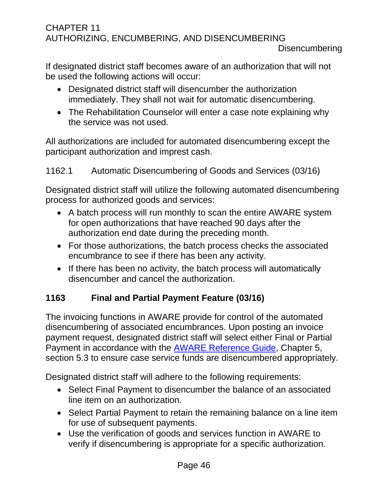If designated district staff becomes aware of an authorization that will not be used the following actions will occur:

- Designated district staff will disencumber the authorization immediately. They shall not wait for automatic disencumbering.
- The Rehabilitation Counselor will enter a case note explaining why the service was not used.

All authorizations are included for automated disencumbering except the participant authorization and imprest cash.

## <span id="page-49-0"></span>1162.1 Automatic Disencumbering of Goods and Services (03/16)

Designated district staff will utilize the following automated disencumbering process for authorized goods and services:

- A batch process will run monthly to scan the entire AWARE system for open authorizations that have reached 90 days after the authorization end date during the preceding month.
- For those authorizations, the batch process checks the associated encumbrance to see if there has been any activity.
- If there has been no activity, the batch process will automatically disencumber and cancel the authorization.

## <span id="page-49-1"></span>**1163 Final and Partial Payment Feature (03/16)**

The invoicing functions in AWARE provide for control of the automated disencumbering of associated encumbrances. Upon posting an invoice payment request, designated district staff will select either Final or Partial Payment in accordance with the [AWARE Reference Guide,](http://indor/division/itsd/aware) Chapter 5, section 5.3 to ensure case service funds are disencumbered appropriately.

Designated district staff will adhere to the following requirements:

- Select Final Payment to disencumber the balance of an associated line item on an authorization.
- Select Partial Payment to retain the remaining balance on a line item for use of subsequent payments.
- Use the verification of goods and services function in AWARE to verify if disencumbering is appropriate for a specific authorization.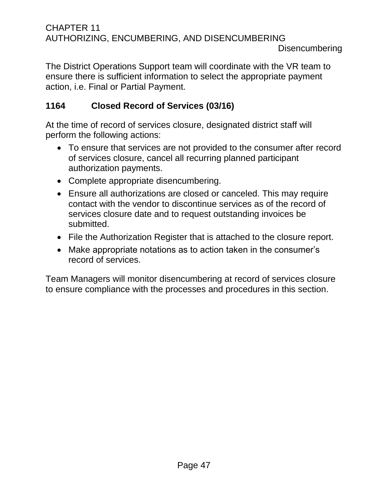The District Operations Support team will coordinate with the VR team to ensure there is sufficient information to select the appropriate payment action, i.e. Final or Partial Payment.

## <span id="page-50-0"></span>**1164 Closed Record of Services (03/16)**

At the time of record of services closure, designated district staff will perform the following actions:

- To ensure that services are not provided to the consumer after record of services closure, cancel all recurring planned participant authorization payments.
- Complete appropriate disencumbering.
- Ensure all authorizations are closed or canceled. This may require contact with the vendor to discontinue services as of the record of services closure date and to request outstanding invoices be submitted.
- File the Authorization Register that is attached to the closure report.
- Make appropriate notations as to action taken in the consumer's record of services.

Team Managers will monitor disencumbering at record of services closure to ensure compliance with the processes and procedures in this section.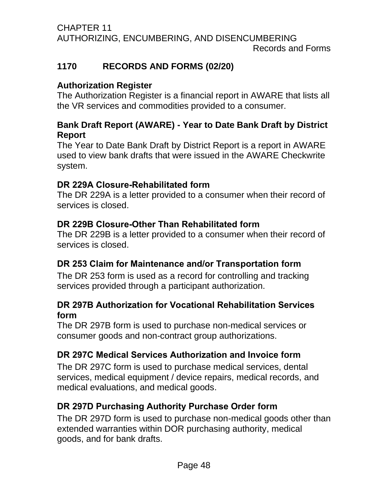#### CHAPTER 11 AUTHORIZING, ENCUMBERING, AND DISENCUMBERING Records and Forms

## <span id="page-51-0"></span>**1170 RECORDS AND FORMS (02/20)**

## **Authorization Register**

The Authorization Register is a financial report in AWARE that lists all the VR services and commodities provided to a consumer.

## **Bank Draft Report (AWARE) - Year to Date Bank Draft by District Report**

The Year to Date Bank Draft by District Report is a report in AWARE used to view bank drafts that were issued in the AWARE Checkwrite system.

## **DR 229A Closure-Rehabilitated form**

The DR 229A is a letter provided to a consumer when their record of services is closed.

## **DR 229B Closure-Other Than Rehabilitated form**

The DR 229B is a letter provided to a consumer when their record of services is closed.

## **DR 253 Claim for Maintenance and/or Transportation form**

The DR 253 form is used as a record for controlling and tracking services provided through a participant authorization.

## **DR 297B Authorization for Vocational Rehabilitation Services form**

The DR 297B form is used to purchase non-medical services or consumer goods and non-contract group authorizations.

## **DR 297C Medical Services Authorization and Invoice form**

The DR 297C form is used to purchase medical services, dental services, medical equipment / device repairs, medical records, and medical evaluations, and medical goods.

## **DR 297D Purchasing Authority Purchase Order form**

The DR 297D form is used to purchase non-medical goods other than extended warranties within DOR purchasing authority, medical goods, and for bank drafts.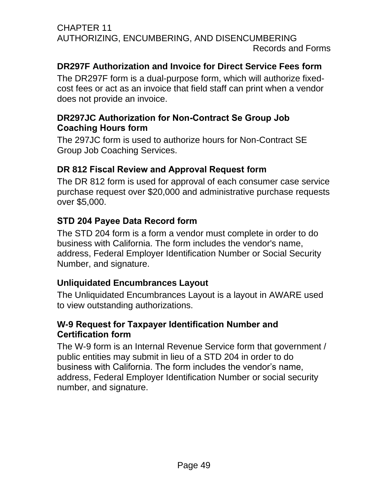#### CHAPTER 11 AUTHORIZING, ENCUMBERING, AND DISENCUMBERING Records and Forms

## **DR297F Authorization and Invoice for Direct Service Fees form**

The DR297F form is a dual-purpose form, which will authorize fixedcost fees or act as an invoice that field staff can print when a vendor does not provide an invoice.

## **DR297JC Authorization for Non-Contract Se Group Job Coaching Hours form**

The 297JC form is used to authorize hours for Non-Contract SE Group Job Coaching Services.

## **DR 812 Fiscal Review and Approval Request form**

The DR 812 form is used for approval of each consumer case service purchase request over \$20,000 and administrative purchase requests over \$5,000.

## **STD 204 Payee Data Record form**

The STD 204 form is a form a vendor must complete in order to do business with California. The form includes the vendor's name, address, Federal Employer Identification Number or Social Security Number, and signature.

## **Unliquidated Encumbrances Layout**

The Unliquidated Encumbrances Layout is a layout in AWARE used to view outstanding authorizations.

## **W-9 Request for Taxpayer Identification Number and Certification form**

The W-9 form is an Internal Revenue Service form that government / public entities may submit in lieu of a STD 204 in order to do business with California. The form includes the vendor's name, address, Federal Employer Identification Number or social security number, and signature.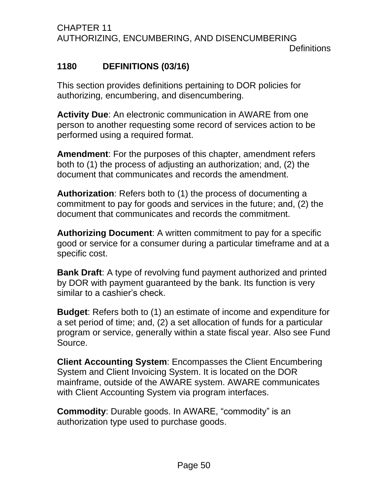## <span id="page-53-0"></span>**1180 DEFINITIONS (03/16)**

This section provides definitions pertaining to DOR policies for authorizing, encumbering, and disencumbering.

**Activity Due**: An electronic communication in AWARE from one person to another requesting some record of services action to be performed using a required format.

**Amendment**: For the purposes of this chapter, amendment refers both to (1) the process of adjusting an authorization; and, (2) the document that communicates and records the amendment.

**Authorization**: Refers both to (1) the process of documenting a commitment to pay for goods and services in the future; and, (2) the document that communicates and records the commitment.

**Authorizing Document**: A written commitment to pay for a specific good or service for a consumer during a particular timeframe and at a specific cost.

**Bank Draft**: A type of revolving fund payment authorized and printed by DOR with payment guaranteed by the bank. Its function is very similar to a cashier's check.

**Budget**: Refers both to (1) an estimate of income and expenditure for a set period of time; and, (2) a set allocation of funds for a particular program or service, generally within a state fiscal year. Also see Fund Source.

**Client Accounting System**: Encompasses the Client Encumbering System and Client Invoicing System. It is located on the DOR mainframe, outside of the AWARE system. AWARE communicates with Client Accounting System via program interfaces.

**Commodity**: Durable goods. In AWARE, "commodity" is an authorization type used to purchase goods.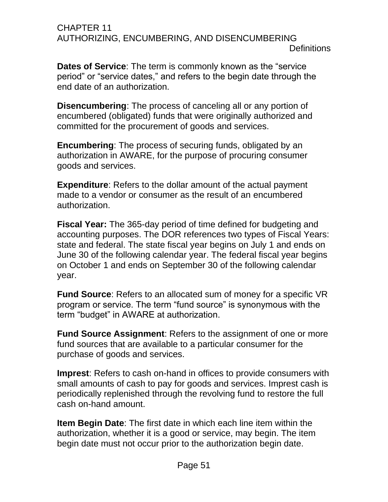#### CHAPTER 11 AUTHORIZING, ENCUMBERING, AND DISENCUMBERING **Definitions**

**Dates of Service**: The term is commonly known as the "service period" or "service dates," and refers to the begin date through the end date of an authorization.

**Disencumbering**: The process of canceling all or any portion of encumbered (obligated) funds that were originally authorized and committed for the procurement of goods and services.

**Encumbering**: The process of securing funds, obligated by an authorization in AWARE, for the purpose of procuring consumer goods and services.

**Expenditure**: Refers to the dollar amount of the actual payment made to a vendor or consumer as the result of an encumbered authorization.

**Fiscal Year:** The 365-day period of time defined for budgeting and accounting purposes. The DOR references two types of Fiscal Years: state and federal. The state fiscal year begins on July 1 and ends on June 30 of the following calendar year. The federal fiscal year begins on October 1 and ends on September 30 of the following calendar year.

**Fund Source**: Refers to an allocated sum of money for a specific VR program or service. The term "fund source" is synonymous with the term "budget" in AWARE at authorization.

**Fund Source Assignment**: Refers to the assignment of one or more fund sources that are available to a particular consumer for the purchase of goods and services.

**Imprest**: Refers to cash on-hand in offices to provide consumers with small amounts of cash to pay for goods and services. Imprest cash is periodically replenished through the revolving fund to restore the full cash on-hand amount.

**Item Begin Date**: The first date in which each line item within the authorization, whether it is a good or service, may begin. The item begin date must not occur prior to the authorization begin date.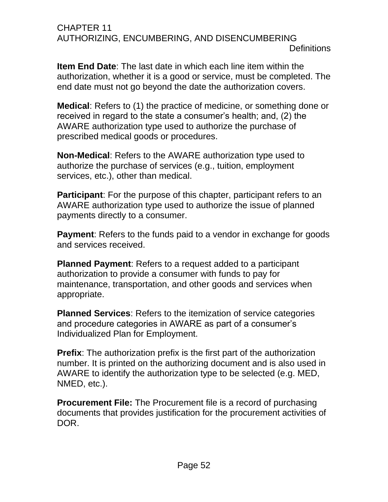#### CHAPTER 11 AUTHORIZING, ENCUMBERING, AND DISENCUMBERING **Definitions**

**Item End Date**: The last date in which each line item within the authorization, whether it is a good or service, must be completed. The end date must not go beyond the date the authorization covers.

**Medical**: Refers to (1) the practice of medicine, or something done or received in regard to the state a consumer's health; and, (2) the AWARE authorization type used to authorize the purchase of prescribed medical goods or procedures.

**Non-Medical**: Refers to the AWARE authorization type used to authorize the purchase of services (e.g., tuition, employment services, etc.), other than medical.

**Participant**: For the purpose of this chapter, participant refers to an AWARE authorization type used to authorize the issue of planned payments directly to a consumer.

**Payment**: Refers to the funds paid to a vendor in exchange for goods and services received.

**Planned Payment**: Refers to a request added to a participant authorization to provide a consumer with funds to pay for maintenance, transportation, and other goods and services when appropriate.

**Planned Services**: Refers to the itemization of service categories and procedure categories in AWARE as part of a consumer's Individualized Plan for Employment.

**Prefix:** The authorization prefix is the first part of the authorization number. It is printed on the authorizing document and is also used in AWARE to identify the authorization type to be selected (e.g. MED, NMED, etc.).

**Procurement File:** The Procurement file is a record of purchasing documents that provides justification for the procurement activities of DOR.